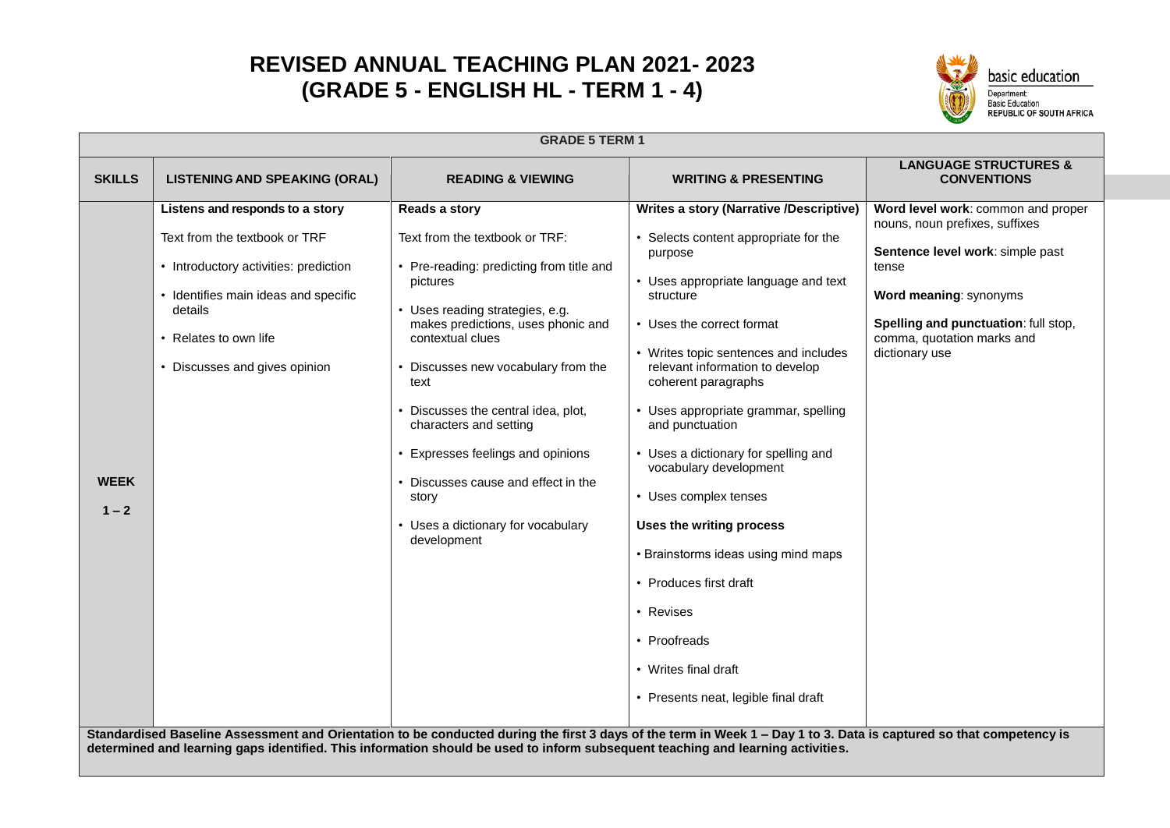## **REVISED ANNUAL TEACHING PLAN 2021- 2023 (GRADE 5 - ENGLISH HL - TERM 1 - 4)**



|                        |                                                                                                                                                                                                                  | <b>GRADE 5 TERM 1</b>                                                                                                                                                                                                                                                                                                                                                                                                                                      |                                                                                                                                                                                                                                                                                                                                                                                                                                                                                                                                                                                                                                                                                                                                                                                                                |                                                                                                                                                                                                                                     |
|------------------------|------------------------------------------------------------------------------------------------------------------------------------------------------------------------------------------------------------------|------------------------------------------------------------------------------------------------------------------------------------------------------------------------------------------------------------------------------------------------------------------------------------------------------------------------------------------------------------------------------------------------------------------------------------------------------------|----------------------------------------------------------------------------------------------------------------------------------------------------------------------------------------------------------------------------------------------------------------------------------------------------------------------------------------------------------------------------------------------------------------------------------------------------------------------------------------------------------------------------------------------------------------------------------------------------------------------------------------------------------------------------------------------------------------------------------------------------------------------------------------------------------------|-------------------------------------------------------------------------------------------------------------------------------------------------------------------------------------------------------------------------------------|
| <b>SKILLS</b>          | <b>LISTENING AND SPEAKING (ORAL)</b>                                                                                                                                                                             | <b>READING &amp; VIEWING</b>                                                                                                                                                                                                                                                                                                                                                                                                                               | <b>WRITING &amp; PRESENTING</b>                                                                                                                                                                                                                                                                                                                                                                                                                                                                                                                                                                                                                                                                                                                                                                                | <b>LANGUAGE STRUCTURES &amp;</b><br><b>CONVENTIONS</b>                                                                                                                                                                              |
| <b>WEEK</b><br>$1 - 2$ | Listens and responds to a story<br>Text from the textbook or TRF<br>• Introductory activities: prediction<br>Identifies main ideas and specific<br>details<br>Relates to own life<br>Discusses and gives opinion | Reads a story<br>Text from the textbook or TRF:<br>• Pre-reading: predicting from title and<br>pictures<br>• Uses reading strategies, e.g.<br>makes predictions, uses phonic and<br>contextual clues<br>• Discusses new vocabulary from the<br>text<br>Discusses the central idea, plot,<br>characters and setting<br>Expresses feelings and opinions<br>• Discusses cause and effect in the<br>story<br>• Uses a dictionary for vocabulary<br>development | <b>Writes a story (Narrative /Descriptive)</b><br>• Selects content appropriate for the<br>purpose<br>• Uses appropriate language and text<br>structure<br>• Uses the correct format<br>• Writes topic sentences and includes<br>relevant information to develop<br>coherent paragraphs<br>• Uses appropriate grammar, spelling<br>and punctuation<br>• Uses a dictionary for spelling and<br>vocabulary development<br>• Uses complex tenses<br>Uses the writing process<br>• Brainstorms ideas using mind maps<br>• Produces first draft<br>• Revises<br>• Proofreads<br>• Writes final draft<br>• Presents neat, legible final draft<br>Standardised Baseline Assessment and Orientation to be conducted during the first 3 days of the term in Week 1 - Day 1 to 3. Data is captured so that competency is | Word level work: common and proper<br>nouns, noun prefixes, suffixes<br>Sentence level work: simple past<br>tense<br>Word meaning: synonyms<br>Spelling and punctuation: full stop,<br>comma, quotation marks and<br>dictionary use |
|                        | determined and learning gaps identified. This information should be used to inform subsequent teaching and learning activities.                                                                                  |                                                                                                                                                                                                                                                                                                                                                                                                                                                            |                                                                                                                                                                                                                                                                                                                                                                                                                                                                                                                                                                                                                                                                                                                                                                                                                |                                                                                                                                                                                                                                     |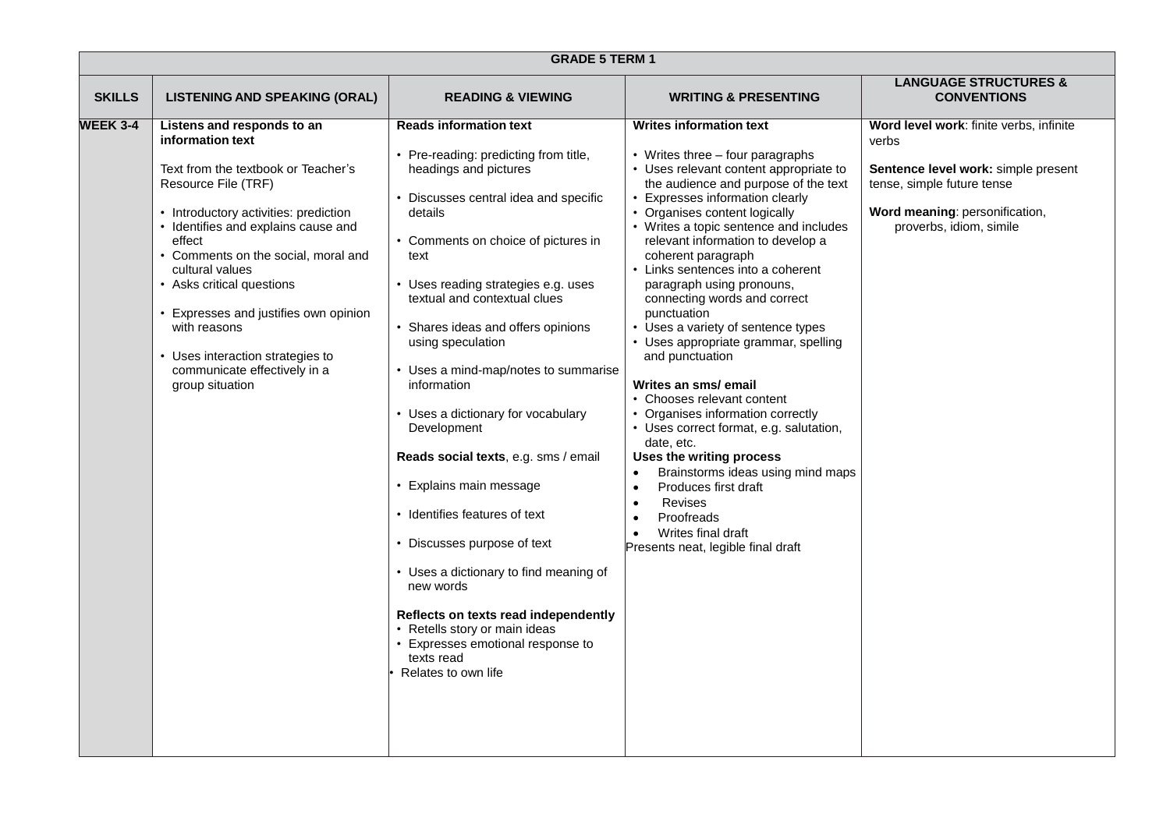|                 | <b>GRADE 5 TERM 1</b>                                                                                                                                                                                                                                                                                                                                                                                                               |                                                                                                                                                                                                                                                                                                                                                                                                                                                                                                                                                                                                                                                                                                                                                                                             |                                                                                                                                                                                                                                                                                                                                                                                                                                                                                                                                                                                                                                                                                                                                                                                                                                                                                                                          |                                                                                                                                                                                    |
|-----------------|-------------------------------------------------------------------------------------------------------------------------------------------------------------------------------------------------------------------------------------------------------------------------------------------------------------------------------------------------------------------------------------------------------------------------------------|---------------------------------------------------------------------------------------------------------------------------------------------------------------------------------------------------------------------------------------------------------------------------------------------------------------------------------------------------------------------------------------------------------------------------------------------------------------------------------------------------------------------------------------------------------------------------------------------------------------------------------------------------------------------------------------------------------------------------------------------------------------------------------------------|--------------------------------------------------------------------------------------------------------------------------------------------------------------------------------------------------------------------------------------------------------------------------------------------------------------------------------------------------------------------------------------------------------------------------------------------------------------------------------------------------------------------------------------------------------------------------------------------------------------------------------------------------------------------------------------------------------------------------------------------------------------------------------------------------------------------------------------------------------------------------------------------------------------------------|------------------------------------------------------------------------------------------------------------------------------------------------------------------------------------|
| <b>SKILLS</b>   | <b>LISTENING AND SPEAKING (ORAL)</b>                                                                                                                                                                                                                                                                                                                                                                                                | <b>READING &amp; VIEWING</b>                                                                                                                                                                                                                                                                                                                                                                                                                                                                                                                                                                                                                                                                                                                                                                | <b>WRITING &amp; PRESENTING</b>                                                                                                                                                                                                                                                                                                                                                                                                                                                                                                                                                                                                                                                                                                                                                                                                                                                                                          | <b>LANGUAGE STRUCTURES &amp;</b><br><b>CONVENTIONS</b>                                                                                                                             |
| <b>WEEK 3-4</b> | Listens and responds to an<br>information text<br>Text from the textbook or Teacher's<br>Resource File (TRF)<br>• Introductory activities: prediction<br>Identifies and explains cause and<br>effect<br>Comments on the social, moral and<br>cultural values<br>Asks critical questions<br>Expresses and justifies own opinion<br>with reasons<br>Uses interaction strategies to<br>communicate effectively in a<br>group situation | <b>Reads information text</b><br>• Pre-reading: predicting from title,<br>headings and pictures<br>• Discusses central idea and specific<br>details<br>• Comments on choice of pictures in<br>text<br>• Uses reading strategies e.g. uses<br>textual and contextual clues<br>• Shares ideas and offers opinions<br>using speculation<br>• Uses a mind-map/notes to summarise<br>information<br>• Uses a dictionary for vocabulary<br>Development<br>Reads social texts, e.g. sms / email<br>• Explains main message<br>• Identifies features of text<br>• Discusses purpose of text<br>• Uses a dictionary to find meaning of<br>new words<br>Reflects on texts read independently<br>• Retells story or main ideas<br>Expresses emotional response to<br>texts read<br>Relates to own life | <b>Writes information text</b><br>• Writes three - four paragraphs<br>• Uses relevant content appropriate to<br>the audience and purpose of the text<br>• Expresses information clearly<br>• Organises content logically<br>• Writes a topic sentence and includes<br>relevant information to develop a<br>coherent paragraph<br>• Links sentences into a coherent<br>paragraph using pronouns,<br>connecting words and correct<br>punctuation<br>• Uses a variety of sentence types<br>• Uses appropriate grammar, spelling<br>and punctuation<br>Writes an sms/ email<br>• Chooses relevant content<br>• Organises information correctly<br>• Uses correct format, e.g. salutation,<br>date, etc.<br>Uses the writing process<br>Brainstorms ideas using mind maps<br>$\bullet$<br>Produces first draft<br>$\bullet$<br>Revises<br>Proofreads<br>Writes final draft<br>$\bullet$<br>Presents neat, legible final draft | Word level work: finite verbs, infinite<br>verbs<br>Sentence level work: simple present<br>tense, simple future tense<br>Word meaning: personification,<br>proverbs, idiom, simile |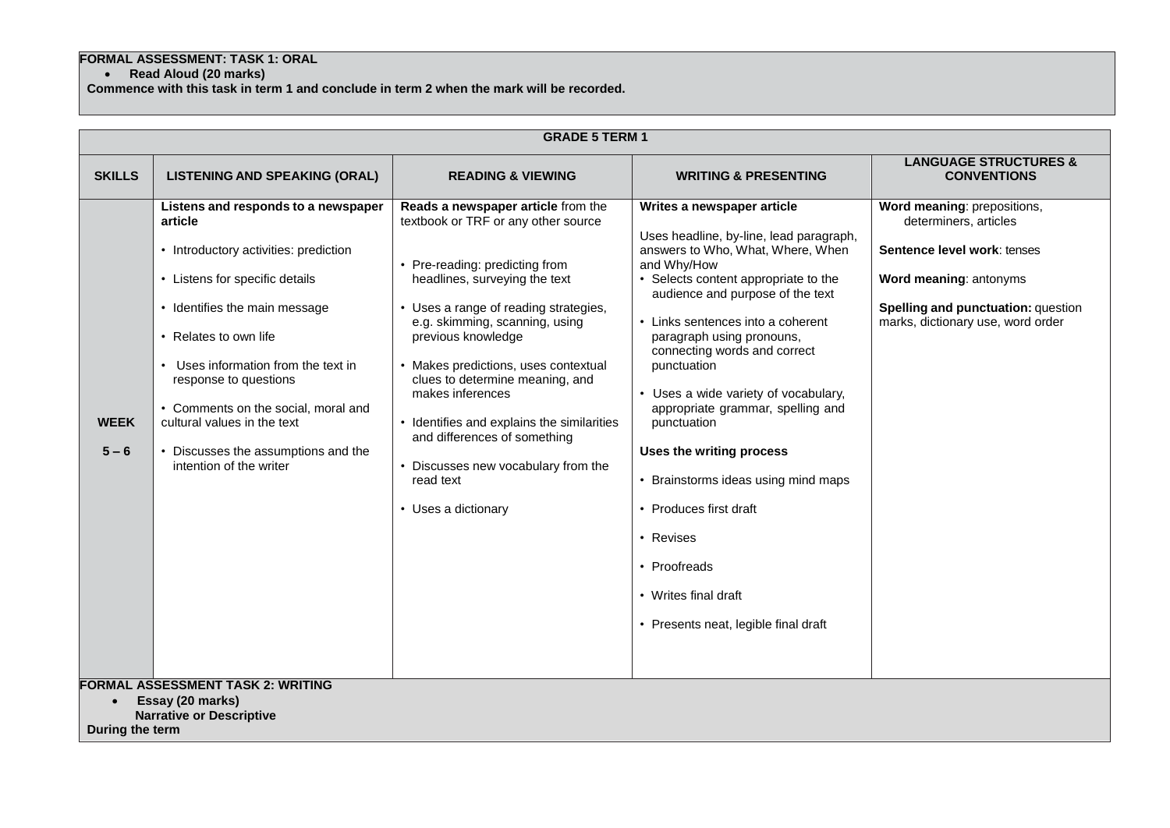## **FORMAL ASSESSMENT: TASK 1: ORAL**

**Read Aloud (20 marks)**

**Commence with this task in term 1 and conclude in term 2 when the mark will be recorded.**

|                              | <b>GRADE 5 TERM 1</b>                                                                                                                                                                                                                                                                                                                                                                     |                                                                                                                                                                                                                                                                                                                                                                                                                                                                                                       |                                                                                                                                                                                                                                                                                                                                                                                                                                                                                                                                                                                                              |                                                                                                                                                                                          |  |
|------------------------------|-------------------------------------------------------------------------------------------------------------------------------------------------------------------------------------------------------------------------------------------------------------------------------------------------------------------------------------------------------------------------------------------|-------------------------------------------------------------------------------------------------------------------------------------------------------------------------------------------------------------------------------------------------------------------------------------------------------------------------------------------------------------------------------------------------------------------------------------------------------------------------------------------------------|--------------------------------------------------------------------------------------------------------------------------------------------------------------------------------------------------------------------------------------------------------------------------------------------------------------------------------------------------------------------------------------------------------------------------------------------------------------------------------------------------------------------------------------------------------------------------------------------------------------|------------------------------------------------------------------------------------------------------------------------------------------------------------------------------------------|--|
| <b>SKILLS</b>                | <b>LISTENING AND SPEAKING (ORAL)</b>                                                                                                                                                                                                                                                                                                                                                      | <b>READING &amp; VIEWING</b>                                                                                                                                                                                                                                                                                                                                                                                                                                                                          | <b>WRITING &amp; PRESENTING</b>                                                                                                                                                                                                                                                                                                                                                                                                                                                                                                                                                                              | <b>LANGUAGE STRUCTURES &amp;</b><br><b>CONVENTIONS</b>                                                                                                                                   |  |
| <b>WEEK</b><br>$5 - 6$       | Listens and responds to a newspaper<br>article<br>• Introductory activities: prediction<br>• Listens for specific details<br>• Identifies the main message<br>• Relates to own life<br>Uses information from the text in<br>response to questions<br>• Comments on the social, moral and<br>cultural values in the text<br>• Discusses the assumptions and the<br>intention of the writer | Reads a newspaper article from the<br>textbook or TRF or any other source<br>• Pre-reading: predicting from<br>headlines, surveying the text<br>• Uses a range of reading strategies,<br>e.g. skimming, scanning, using<br>previous knowledge<br>• Makes predictions, uses contextual<br>clues to determine meaning, and<br>makes inferences<br>• Identifies and explains the similarities<br>and differences of something<br>• Discusses new vocabulary from the<br>read text<br>• Uses a dictionary | Writes a newspaper article<br>Uses headline, by-line, lead paragraph,<br>answers to Who, What, Where, When<br>and Why/How<br>• Selects content appropriate to the<br>audience and purpose of the text<br>• Links sentences into a coherent<br>paragraph using pronouns,<br>connecting words and correct<br>punctuation<br>• Uses a wide variety of vocabulary,<br>appropriate grammar, spelling and<br>punctuation<br>Uses the writing process<br>• Brainstorms ideas using mind maps<br>• Produces first draft<br>• Revises<br>• Proofreads<br>• Writes final draft<br>• Presents neat, legible final draft | Word meaning: prepositions,<br>determiners, articles<br>Sentence level work: tenses<br>Word meaning: antonyms<br>Spelling and punctuation: question<br>marks, dictionary use, word order |  |
| $\bullet$<br>During the term | <b>FORMAL ASSESSMENT TASK 2: WRITING</b><br>Essay (20 marks)<br><b>Narrative or Descriptive</b>                                                                                                                                                                                                                                                                                           |                                                                                                                                                                                                                                                                                                                                                                                                                                                                                                       |                                                                                                                                                                                                                                                                                                                                                                                                                                                                                                                                                                                                              |                                                                                                                                                                                          |  |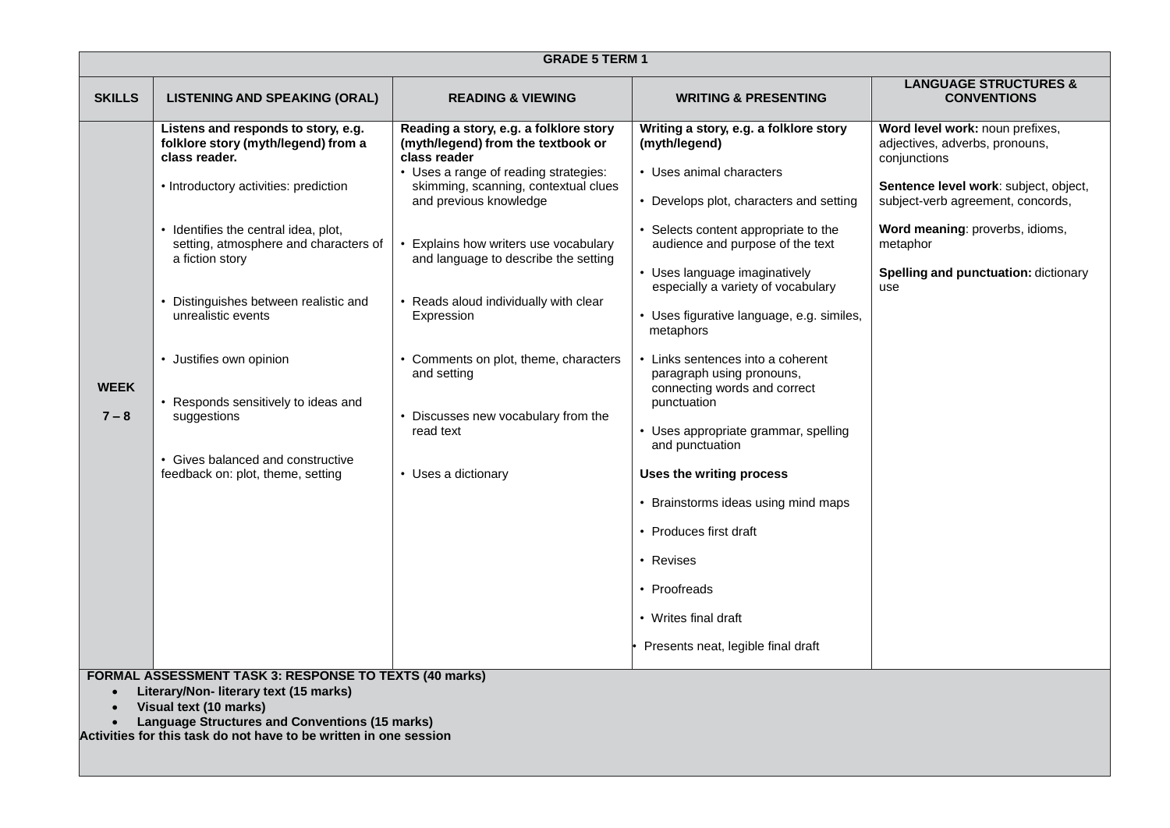| <b>GRADE 5 TERM 1</b>                                                                                                                                                                                                                                                        |                                                                                                                                                                                                                                                                                                                                                                                                                                                              |                                                                                                                                                                                                                                                                                                                                                                                                                                                                                  |                                                                                                                                                                                                                                                                                                                                                                                                                                                                                                                                                                                                                                                                                                               |                                                                                                                                                                                                                                                                      |
|------------------------------------------------------------------------------------------------------------------------------------------------------------------------------------------------------------------------------------------------------------------------------|--------------------------------------------------------------------------------------------------------------------------------------------------------------------------------------------------------------------------------------------------------------------------------------------------------------------------------------------------------------------------------------------------------------------------------------------------------------|----------------------------------------------------------------------------------------------------------------------------------------------------------------------------------------------------------------------------------------------------------------------------------------------------------------------------------------------------------------------------------------------------------------------------------------------------------------------------------|---------------------------------------------------------------------------------------------------------------------------------------------------------------------------------------------------------------------------------------------------------------------------------------------------------------------------------------------------------------------------------------------------------------------------------------------------------------------------------------------------------------------------------------------------------------------------------------------------------------------------------------------------------------------------------------------------------------|----------------------------------------------------------------------------------------------------------------------------------------------------------------------------------------------------------------------------------------------------------------------|
| <b>SKILLS</b>                                                                                                                                                                                                                                                                | <b>LISTENING AND SPEAKING (ORAL)</b>                                                                                                                                                                                                                                                                                                                                                                                                                         | <b>READING &amp; VIEWING</b>                                                                                                                                                                                                                                                                                                                                                                                                                                                     | <b>WRITING &amp; PRESENTING</b>                                                                                                                                                                                                                                                                                                                                                                                                                                                                                                                                                                                                                                                                               | <b>LANGUAGE STRUCTURES &amp;</b><br><b>CONVENTIONS</b>                                                                                                                                                                                                               |
| <b>WEEK</b><br>$7 - 8$                                                                                                                                                                                                                                                       | Listens and responds to story, e.g.<br>folklore story (myth/legend) from a<br>class reader.<br>• Introductory activities: prediction<br>Identifies the central idea, plot,<br>setting, atmosphere and characters of<br>a fiction story<br>Distinguishes between realistic and<br>unrealistic events<br>• Justifies own opinion<br>Responds sensitively to ideas and<br>suggestions<br>• Gives balanced and constructive<br>feedback on: plot, theme, setting | Reading a story, e.g. a folklore story<br>(myth/legend) from the textbook or<br>class reader<br>• Uses a range of reading strategies:<br>skimming, scanning, contextual clues<br>and previous knowledge<br>Explains how writers use vocabulary<br>and language to describe the setting<br>• Reads aloud individually with clear<br>Expression<br>• Comments on plot, theme, characters<br>and setting<br>• Discusses new vocabulary from the<br>read text<br>• Uses a dictionary | Writing a story, e.g. a folklore story<br>(myth/legend)<br>• Uses animal characters<br>• Develops plot, characters and setting<br>Selects content appropriate to the<br>audience and purpose of the text<br>• Uses language imaginatively<br>especially a variety of vocabulary<br>• Uses figurative language, e.g. similes,<br>metaphors<br>• Links sentences into a coherent<br>paragraph using pronouns,<br>connecting words and correct<br>punctuation<br>• Uses appropriate grammar, spelling<br>and punctuation<br>Uses the writing process<br>• Brainstorms ideas using mind maps<br>• Produces first draft<br>• Revises<br>• Proofreads<br>• Writes final draft<br>Presents neat, legible final draft | Word level work: noun prefixes,<br>adjectives, adverbs, pronouns,<br>conjunctions<br>Sentence level work: subject, object,<br>subject-verb agreement, concords,<br>Word meaning: proverbs, idioms,<br>metaphor<br><b>Spelling and punctuation: dictionary</b><br>use |
| <b>FORMAL ASSESSMENT TASK 3: RESPONSE TO TEXTS (40 marks)</b><br>Literary/Non- literary text (15 marks)<br>$\bullet$<br>Visual text (10 marks)<br><b>Language Structures and Conventions (15 marks)</b><br>Activities for this task do not have to be written in one session |                                                                                                                                                                                                                                                                                                                                                                                                                                                              |                                                                                                                                                                                                                                                                                                                                                                                                                                                                                  |                                                                                                                                                                                                                                                                                                                                                                                                                                                                                                                                                                                                                                                                                                               |                                                                                                                                                                                                                                                                      |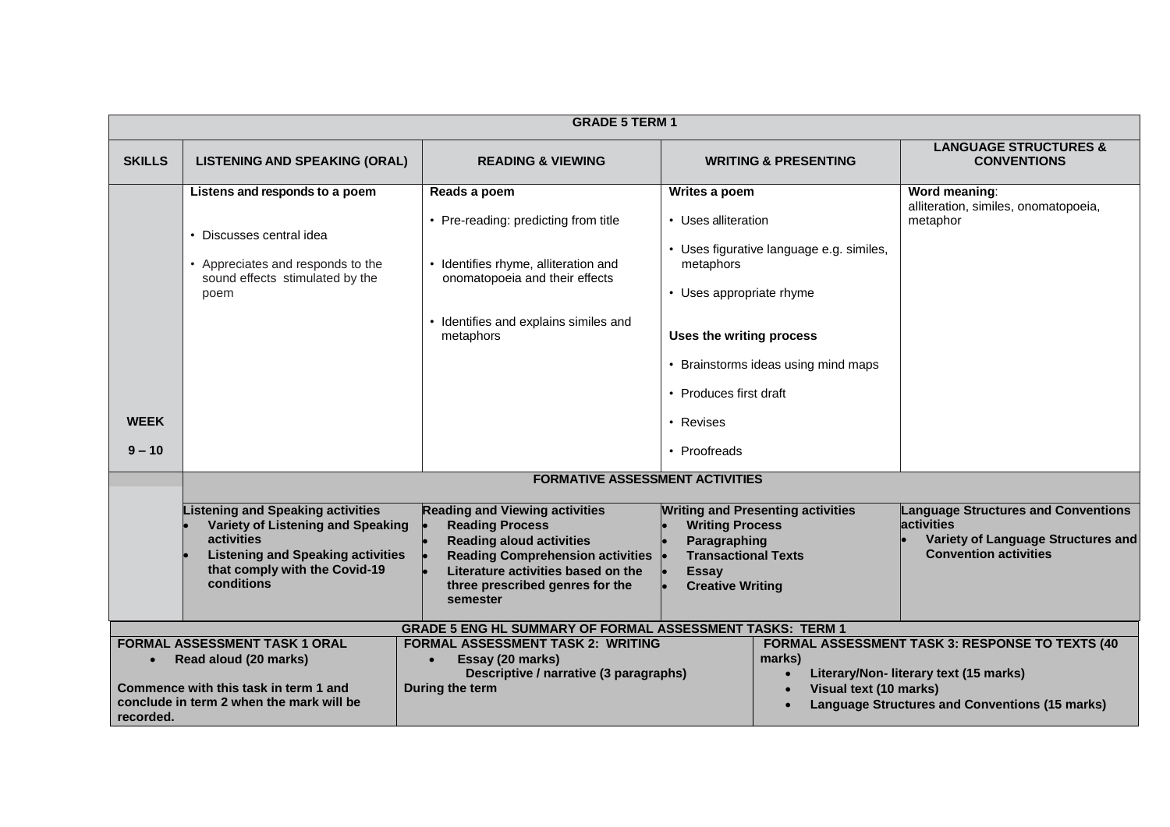|                         | <b>GRADE 5 TERM 1</b>                                                                                                                                                                  |                                                                                                                                                                                                                                    |                                                                                                                                                                  |                                                                                 |                                                                                                                                                            |
|-------------------------|----------------------------------------------------------------------------------------------------------------------------------------------------------------------------------------|------------------------------------------------------------------------------------------------------------------------------------------------------------------------------------------------------------------------------------|------------------------------------------------------------------------------------------------------------------------------------------------------------------|---------------------------------------------------------------------------------|------------------------------------------------------------------------------------------------------------------------------------------------------------|
| <b>SKILLS</b>           | <b>LISTENING AND SPEAKING (ORAL)</b>                                                                                                                                                   | <b>READING &amp; VIEWING</b>                                                                                                                                                                                                       |                                                                                                                                                                  | <b>WRITING &amp; PRESENTING</b>                                                 | <b>LANGUAGE STRUCTURES &amp;</b><br><b>CONVENTIONS</b>                                                                                                     |
| <b>WEEK</b><br>$9 - 10$ | Listens and responds to a poem<br>Discusses central idea<br>Appreciates and responds to the<br>sound effects stimulated by the<br>poem                                                 | Reads a poem<br>• Pre-reading: predicting from title<br>• Identifies rhyme, alliteration and<br>onomatopoeia and their effects<br>• Identifies and explains similes and<br>metaphors                                               | Writes a poem<br>• Uses alliteration<br>metaphors<br>• Uses appropriate rhyme<br>Uses the writing process<br>• Produces first draft<br>• Revises<br>• Proofreads | • Uses figurative language e.g. similes,<br>• Brainstorms ideas using mind maps | Word meaning:<br>alliteration, similes, onomatopoeia,<br>metaphor                                                                                          |
|                         |                                                                                                                                                                                        | <b>FORMATIVE ASSESSMENT ACTIVITIES</b>                                                                                                                                                                                             |                                                                                                                                                                  |                                                                                 |                                                                                                                                                            |
|                         | <b>Listening and Speaking activities</b><br>Variety of Listening and Speaking<br>activities<br><b>Listening and Speaking activities</b><br>that comply with the Covid-19<br>conditions | <b>Reading and Viewing activities</b><br><b>Reading Process</b><br><b>Reading aloud activities</b><br><b>Reading Comprehension activities</b><br>Literature activities based on the<br>three prescribed genres for the<br>semester | <b>Writing Process</b><br>Paragraphing<br><b>Transactional Texts</b><br><b>Essay</b><br><b>Creative Writing</b>                                                  | <b>Writing and Presenting activities</b>                                        | <b>Language Structures and Conventions</b><br>activities<br>Variety of Language Structures and<br><b>Convention activities</b>                             |
|                         |                                                                                                                                                                                        | <b>GRADE 5 ENG HL SUMMARY OF FORMAL ASSESSMENT TASKS: TERM 1</b>                                                                                                                                                                   |                                                                                                                                                                  |                                                                                 |                                                                                                                                                            |
| recorded.               | <b>FORMAL ASSESSMENT TASK 1 ORAL</b><br>Read aloud (20 marks)<br>Commence with this task in term 1 and<br>conclude in term 2 when the mark will be                                     | <b>FORMAL ASSESSMENT TASK 2: WRITING</b><br>Essay (20 marks)<br>Descriptive / narrative (3 paragraphs)<br>During the term                                                                                                          |                                                                                                                                                                  | marks)<br>Visual text (10 marks)                                                | <b>FORMAL ASSESSMENT TASK 3: RESPONSE TO TEXTS (40)</b><br>Literary/Non- literary text (15 marks)<br><b>Language Structures and Conventions (15 marks)</b> |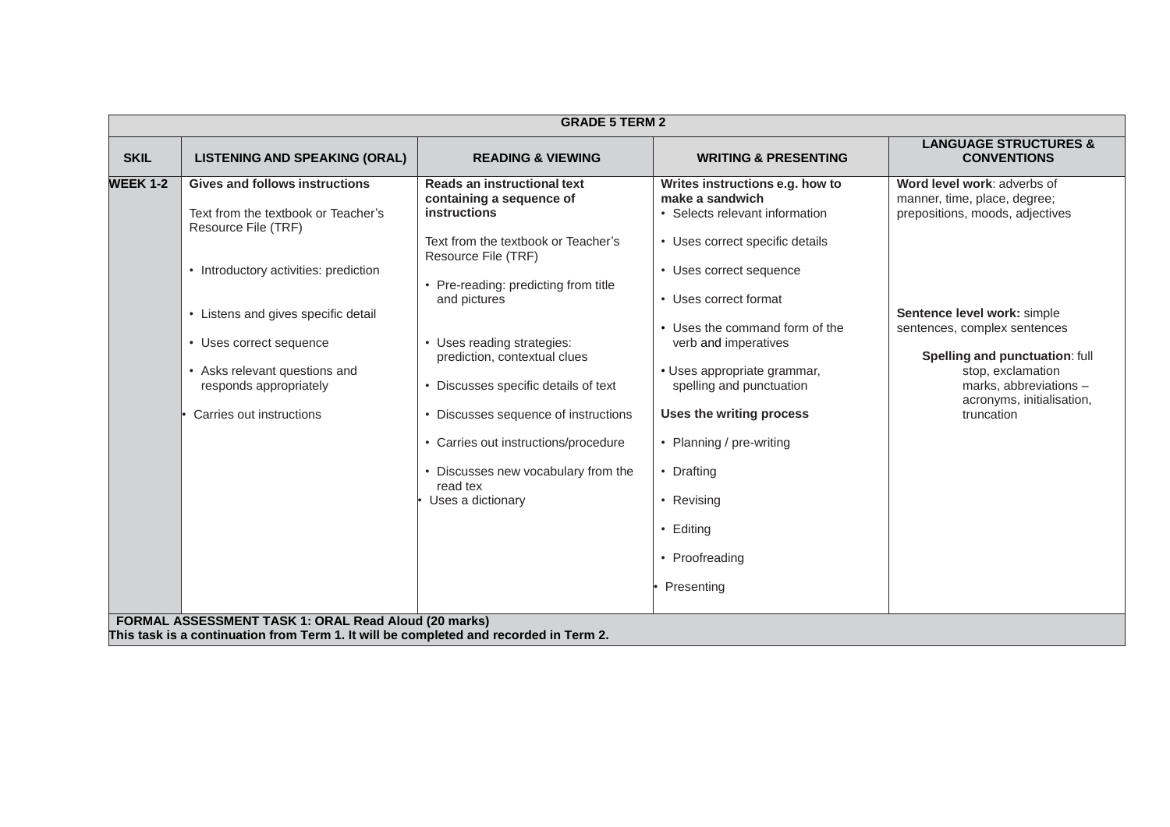|                 | <b>GRADE 5 TERM 2</b>                                                                                                                                                                                                                                                                               |                                                                                                                                                                                                                                                                                                                                                                                                                                                                  |                                                                                                                                                                                                                                                                                                                                                                                                                                   |                                                                                                                                                                                                                                                                                           |  |
|-----------------|-----------------------------------------------------------------------------------------------------------------------------------------------------------------------------------------------------------------------------------------------------------------------------------------------------|------------------------------------------------------------------------------------------------------------------------------------------------------------------------------------------------------------------------------------------------------------------------------------------------------------------------------------------------------------------------------------------------------------------------------------------------------------------|-----------------------------------------------------------------------------------------------------------------------------------------------------------------------------------------------------------------------------------------------------------------------------------------------------------------------------------------------------------------------------------------------------------------------------------|-------------------------------------------------------------------------------------------------------------------------------------------------------------------------------------------------------------------------------------------------------------------------------------------|--|
| <b>SKIL</b>     | <b>LISTENING AND SPEAKING (ORAL)</b>                                                                                                                                                                                                                                                                | <b>READING &amp; VIEWING</b>                                                                                                                                                                                                                                                                                                                                                                                                                                     | <b>WRITING &amp; PRESENTING</b>                                                                                                                                                                                                                                                                                                                                                                                                   | <b>LANGUAGE STRUCTURES &amp;</b><br><b>CONVENTIONS</b>                                                                                                                                                                                                                                    |  |
| <b>WEEK 1-2</b> | <b>Gives and follows instructions</b><br>Text from the textbook or Teacher's<br>Resource File (TRF)<br>• Introductory activities: prediction<br>• Listens and gives specific detail<br>• Uses correct sequence<br>Asks relevant questions and<br>responds appropriately<br>Carries out instructions | Reads an instructional text<br>containing a sequence of<br><b>instructions</b><br>Text from the textbook or Teacher's<br>Resource File (TRF)<br>• Pre-reading: predicting from title<br>and pictures<br>• Uses reading strategies:<br>prediction, contextual clues<br>• Discusses specific details of text<br>• Discusses sequence of instructions<br>Carries out instructions/procedure<br>• Discusses new vocabulary from the<br>read tex<br>Uses a dictionary | Writes instructions e.g. how to<br>make a sandwich<br>• Selects relevant information<br>• Uses correct specific details<br>• Uses correct sequence<br>• Uses correct format<br>• Uses the command form of the<br>verb and imperatives<br>· Uses appropriate grammar,<br>spelling and punctuation<br>Uses the writing process<br>• Planning / pre-writing<br>• Drafting<br>• Revising<br>• Editing<br>• Proofreading<br>Presenting | Word level work: adverbs of<br>manner, time, place, degree;<br>prepositions, moods, adjectives<br>Sentence level work: simple<br>sentences, complex sentences<br>Spelling and punctuation: full<br>stop, exclamation<br>marks, abbreviations -<br>acronyms, initialisation,<br>truncation |  |
|                 | FORMAL ASSESSMENT TASK 1: ORAL Read Aloud (20 marks)<br>This task is a continuation from Term 1. It will be completed and recorded in Term 2.                                                                                                                                                       |                                                                                                                                                                                                                                                                                                                                                                                                                                                                  |                                                                                                                                                                                                                                                                                                                                                                                                                                   |                                                                                                                                                                                                                                                                                           |  |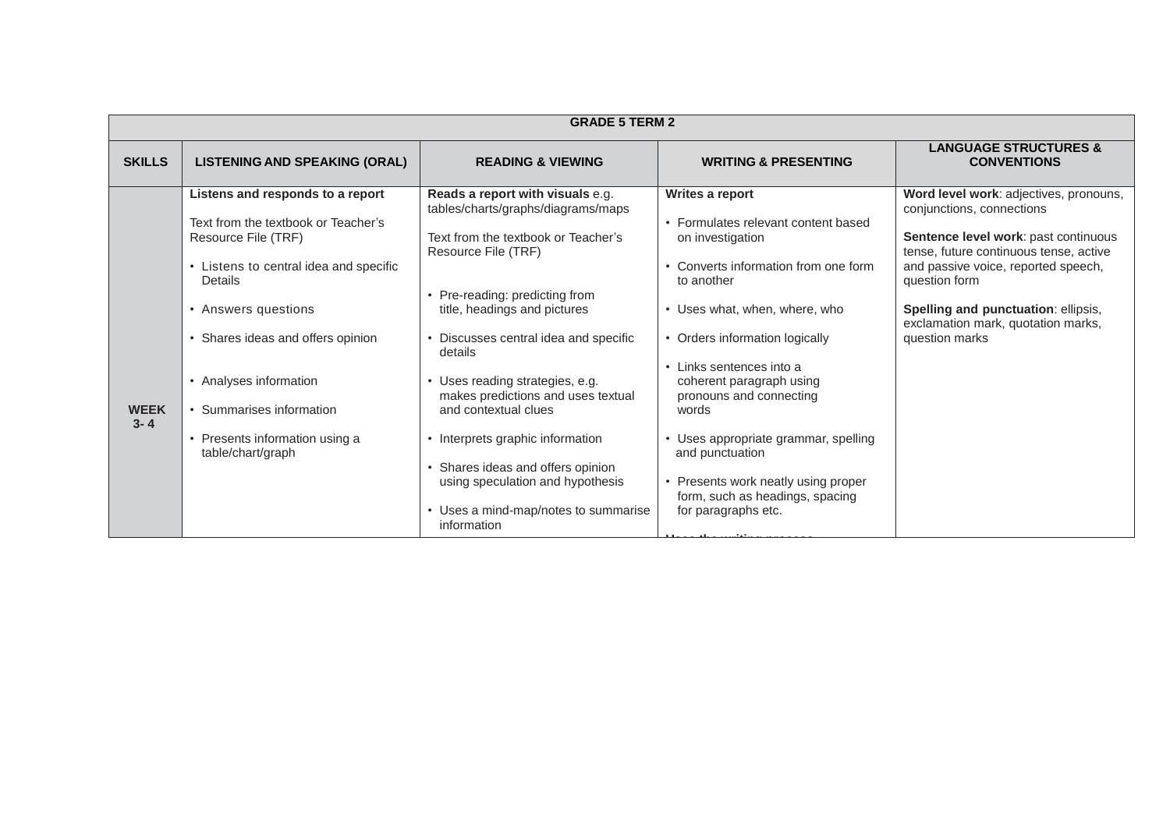|                        | <b>GRADE 5 TERM 2</b>                                                                                                                                                                                                                                                                                                        |                                                                                                                                                                                                                                                                                                                                                                                                                                                                        |                                                                                                                                                                                                                                                                                                                                                                                                 |                                                                                                                                                                                                                                                                                                              |
|------------------------|------------------------------------------------------------------------------------------------------------------------------------------------------------------------------------------------------------------------------------------------------------------------------------------------------------------------------|------------------------------------------------------------------------------------------------------------------------------------------------------------------------------------------------------------------------------------------------------------------------------------------------------------------------------------------------------------------------------------------------------------------------------------------------------------------------|-------------------------------------------------------------------------------------------------------------------------------------------------------------------------------------------------------------------------------------------------------------------------------------------------------------------------------------------------------------------------------------------------|--------------------------------------------------------------------------------------------------------------------------------------------------------------------------------------------------------------------------------------------------------------------------------------------------------------|
| <b>SKILLS</b>          | <b>LISTENING AND SPEAKING (ORAL)</b>                                                                                                                                                                                                                                                                                         | <b>READING &amp; VIEWING</b>                                                                                                                                                                                                                                                                                                                                                                                                                                           | <b>WRITING &amp; PRESENTING</b>                                                                                                                                                                                                                                                                                                                                                                 | <b>LANGUAGE STRUCTURES &amp;</b><br><b>CONVENTIONS</b>                                                                                                                                                                                                                                                       |
| <b>WEEK</b><br>$3 - 4$ | Listens and responds to a report<br>Text from the textbook or Teacher's<br>Resource File (TRF)<br>• Listens to central idea and specific<br>Details<br>• Answers questions<br>• Shares ideas and offers opinion<br>• Analyses information<br>• Summarises information<br>• Presents information using a<br>table/chart/graph | Reads a report with visuals e.g.<br>tables/charts/graphs/diagrams/maps<br>Text from the textbook or Teacher's<br>Resource File (TRF)<br>• Pre-reading: predicting from<br>title, headings and pictures<br>• Discusses central idea and specific<br>details<br>• Uses reading strategies, e.g.<br>makes predictions and uses textual<br>and contextual clues<br>• Interprets graphic information<br>Shares ideas and offers opinion<br>using speculation and hypothesis | Writes a report<br>• Formulates relevant content based<br>on investigation<br>• Converts information from one form<br>to another<br>• Uses what, when, where, who<br>• Orders information logically<br>• Links sentences into a<br>coherent paragraph using<br>pronouns and connecting<br>words<br>Uses appropriate grammar, spelling<br>and punctuation<br>• Presents work neatly using proper | Word level work: adjectives, pronouns,<br>conjunctions, connections<br>Sentence level work: past continuous<br>tense, future continuous tense, active<br>and passive voice, reported speech,<br>question form<br>Spelling and punctuation: ellipsis,<br>exclamation mark, quotation marks,<br>question marks |
|                        |                                                                                                                                                                                                                                                                                                                              | • Uses a mind-map/notes to summarise<br>information                                                                                                                                                                                                                                                                                                                                                                                                                    | form, such as headings, spacing<br>for paragraphs etc.                                                                                                                                                                                                                                                                                                                                          |                                                                                                                                                                                                                                                                                                              |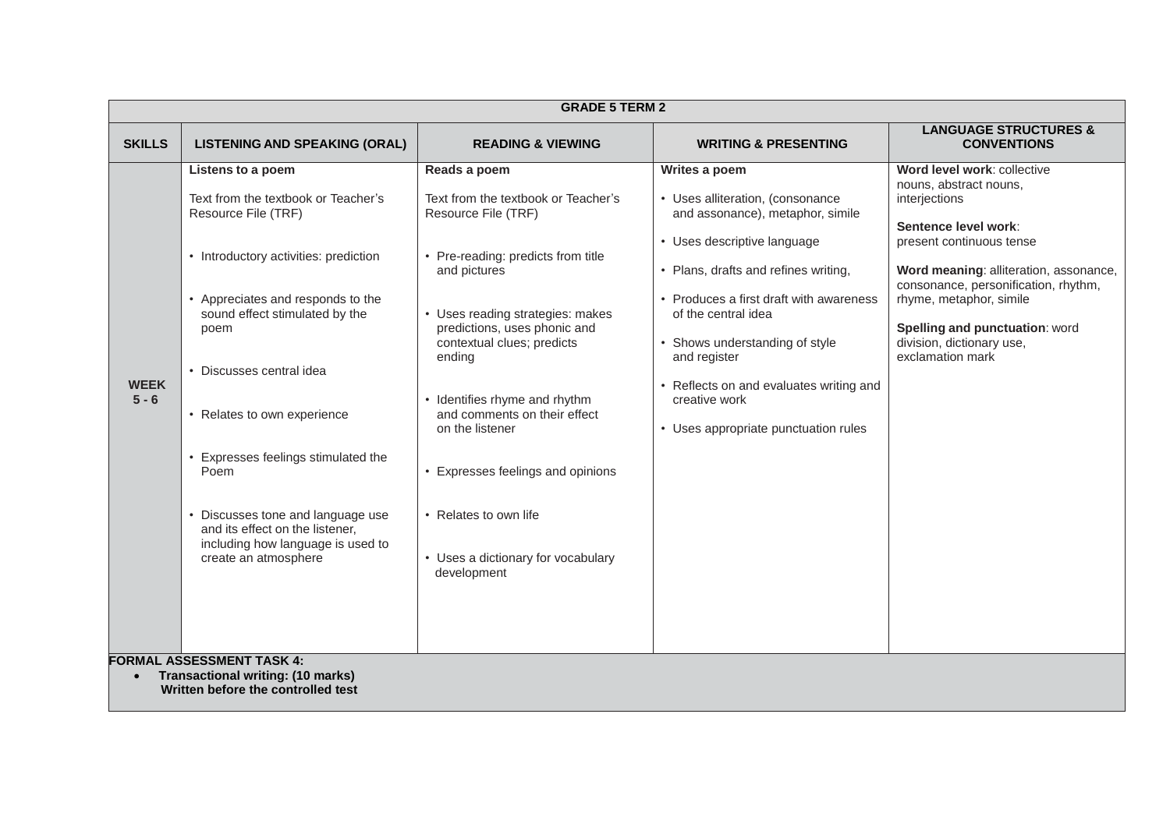|                        |                                                                                                                                                                                                                                                                                                                                                                                                                                                  | <b>GRADE 5 TERM 2</b>                                                                                                                                                                                                                                                                                                                                                                                                                             |                                                                                                                                                                                                                                                                                                                                                                                      |                                                                                                                                                                                                                                                                                                                            |
|------------------------|--------------------------------------------------------------------------------------------------------------------------------------------------------------------------------------------------------------------------------------------------------------------------------------------------------------------------------------------------------------------------------------------------------------------------------------------------|---------------------------------------------------------------------------------------------------------------------------------------------------------------------------------------------------------------------------------------------------------------------------------------------------------------------------------------------------------------------------------------------------------------------------------------------------|--------------------------------------------------------------------------------------------------------------------------------------------------------------------------------------------------------------------------------------------------------------------------------------------------------------------------------------------------------------------------------------|----------------------------------------------------------------------------------------------------------------------------------------------------------------------------------------------------------------------------------------------------------------------------------------------------------------------------|
| <b>SKILLS</b>          | <b>LISTENING AND SPEAKING (ORAL)</b>                                                                                                                                                                                                                                                                                                                                                                                                             | <b>READING &amp; VIEWING</b>                                                                                                                                                                                                                                                                                                                                                                                                                      | <b>WRITING &amp; PRESENTING</b>                                                                                                                                                                                                                                                                                                                                                      | <b>LANGUAGE STRUCTURES &amp;</b><br><b>CONVENTIONS</b>                                                                                                                                                                                                                                                                     |
| <b>WEEK</b><br>$5 - 6$ | Listens to a poem<br>Text from the textbook or Teacher's<br>Resource File (TRF)<br>• Introductory activities: prediction<br>Appreciates and responds to the<br>sound effect stimulated by the<br>poem<br>• Discusses central idea<br>• Relates to own experience<br>Expresses feelings stimulated the<br>Poem<br>Discusses tone and language use<br>and its effect on the listener,<br>including how language is used to<br>create an atmosphere | Reads a poem<br>Text from the textbook or Teacher's<br>Resource File (TRF)<br>• Pre-reading: predicts from title<br>and pictures<br>• Uses reading strategies: makes<br>predictions, uses phonic and<br>contextual clues; predicts<br>ending<br>• Identifies rhyme and rhythm<br>and comments on their effect<br>on the listener<br>Expresses feelings and opinions<br>• Relates to own life<br>• Uses a dictionary for vocabulary<br>development | Writes a poem<br>• Uses alliteration, (consonance<br>and assonance), metaphor, simile<br>• Uses descriptive language<br>• Plans, drafts and refines writing,<br>• Produces a first draft with awareness<br>of the central idea<br>• Shows understanding of style<br>and register<br>• Reflects on and evaluates writing and<br>creative work<br>• Uses appropriate punctuation rules | Word level work: collective<br>nouns, abstract nouns,<br>interjections<br>Sentence level work:<br>present continuous tense<br>Word meaning: alliteration, assonance,<br>consonance, personification, rhythm,<br>rhyme, metaphor, simile<br>Spelling and punctuation: word<br>division, dictionary use,<br>exclamation mark |
|                        | <b>FORMAL ASSESSMENT TASK 4:</b><br><b>Transactional writing: (10 marks)</b><br>Written before the controlled test                                                                                                                                                                                                                                                                                                                               |                                                                                                                                                                                                                                                                                                                                                                                                                                                   |                                                                                                                                                                                                                                                                                                                                                                                      |                                                                                                                                                                                                                                                                                                                            |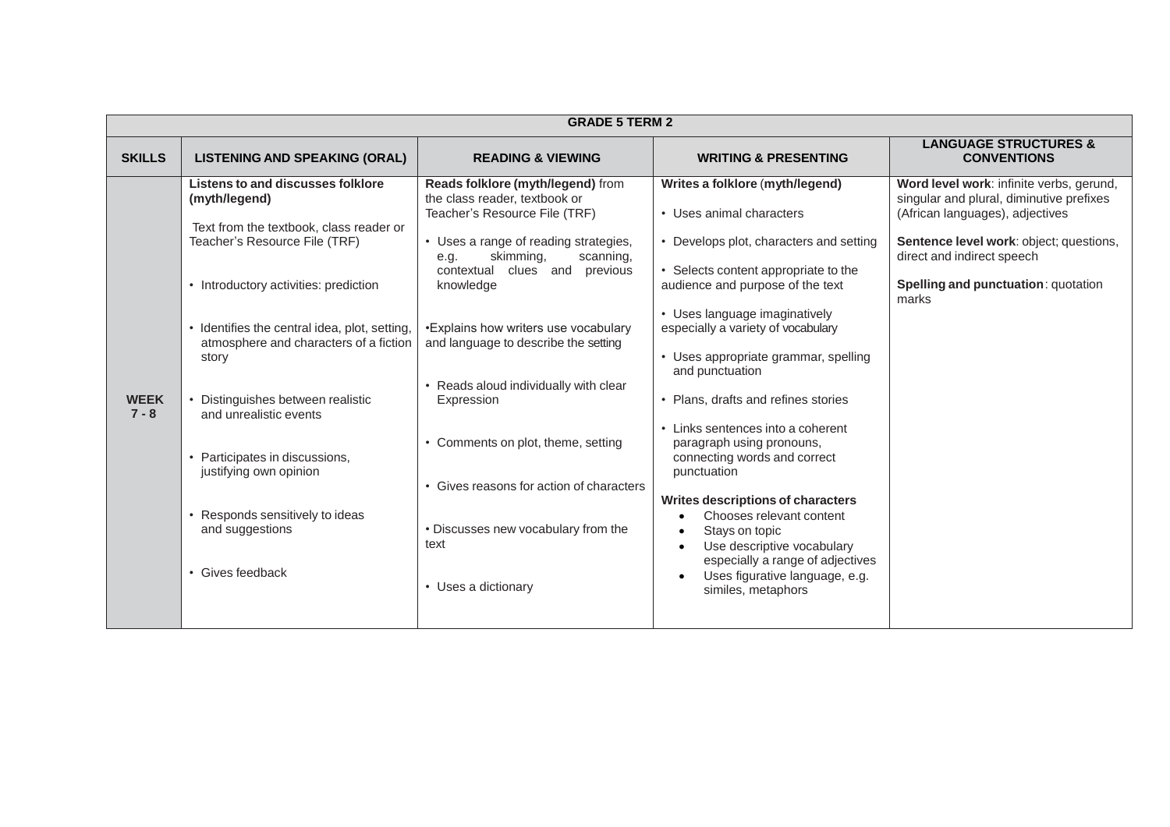|                        | <b>GRADE 5 TERM 2</b>                                                                                                                                                                                                                                                                                                                                                                                                                                                                 |                                                                                                                                                                                                                                                                                                                                                                                                                                                                                                                                 |                                                                                                                                                                                                                                                                                                                                                                                                                                                                                                                                                                                                                                                                                                  |                                                                                                                                                                                                                                                         |  |
|------------------------|---------------------------------------------------------------------------------------------------------------------------------------------------------------------------------------------------------------------------------------------------------------------------------------------------------------------------------------------------------------------------------------------------------------------------------------------------------------------------------------|---------------------------------------------------------------------------------------------------------------------------------------------------------------------------------------------------------------------------------------------------------------------------------------------------------------------------------------------------------------------------------------------------------------------------------------------------------------------------------------------------------------------------------|--------------------------------------------------------------------------------------------------------------------------------------------------------------------------------------------------------------------------------------------------------------------------------------------------------------------------------------------------------------------------------------------------------------------------------------------------------------------------------------------------------------------------------------------------------------------------------------------------------------------------------------------------------------------------------------------------|---------------------------------------------------------------------------------------------------------------------------------------------------------------------------------------------------------------------------------------------------------|--|
| <b>SKILLS</b>          | <b>LISTENING AND SPEAKING (ORAL)</b>                                                                                                                                                                                                                                                                                                                                                                                                                                                  | <b>READING &amp; VIEWING</b>                                                                                                                                                                                                                                                                                                                                                                                                                                                                                                    | <b>WRITING &amp; PRESENTING</b>                                                                                                                                                                                                                                                                                                                                                                                                                                                                                                                                                                                                                                                                  | <b>LANGUAGE STRUCTURES &amp;</b><br><b>CONVENTIONS</b>                                                                                                                                                                                                  |  |
| <b>WEEK</b><br>$7 - 8$ | <b>Listens to and discusses folklore</b><br>(myth/legend)<br>Text from the textbook, class reader or<br>Teacher's Resource File (TRF)<br>• Introductory activities: prediction<br>• Identifies the central idea, plot, setting,<br>atmosphere and characters of a fiction<br>story<br>• Distinguishes between realistic<br>and unrealistic events<br>• Participates in discussions,<br>justifying own opinion<br>Responds sensitively to ideas<br>and suggestions<br>• Gives feedback | Reads folklore (myth/legend) from<br>the class reader, textbook or<br>Teacher's Resource File (TRF)<br>• Uses a range of reading strategies,<br>skimming,<br>scanning,<br>e.g.<br>contextual<br>clues and<br>previous<br>knowledge<br>•Explains how writers use vocabulary<br>and language to describe the setting<br>Reads aloud individually with clear<br>Expression<br>• Comments on plot, theme, setting<br>• Gives reasons for action of characters<br>• Discusses new vocabulary from the<br>text<br>• Uses a dictionary | Writes a folklore (myth/legend)<br>• Uses animal characters<br>• Develops plot, characters and setting<br>• Selects content appropriate to the<br>audience and purpose of the text<br>• Uses language imaginatively<br>especially a variety of vocabulary<br>• Uses appropriate grammar, spelling<br>and punctuation<br>• Plans, drafts and refines stories<br>• Links sentences into a coherent<br>paragraph using pronouns,<br>connecting words and correct<br>punctuation<br><b>Writes descriptions of characters</b><br>Chooses relevant content<br>Stays on topic<br>Use descriptive vocabulary<br>especially a range of adjectives<br>Uses figurative language, e.g.<br>similes, metaphors | Word level work: infinite verbs, gerund,<br>singular and plural, diminutive prefixes<br>(African languages), adjectives<br>Sentence level work: object; questions,<br>direct and indirect speech<br><b>Spelling and punctuation: quotation</b><br>marks |  |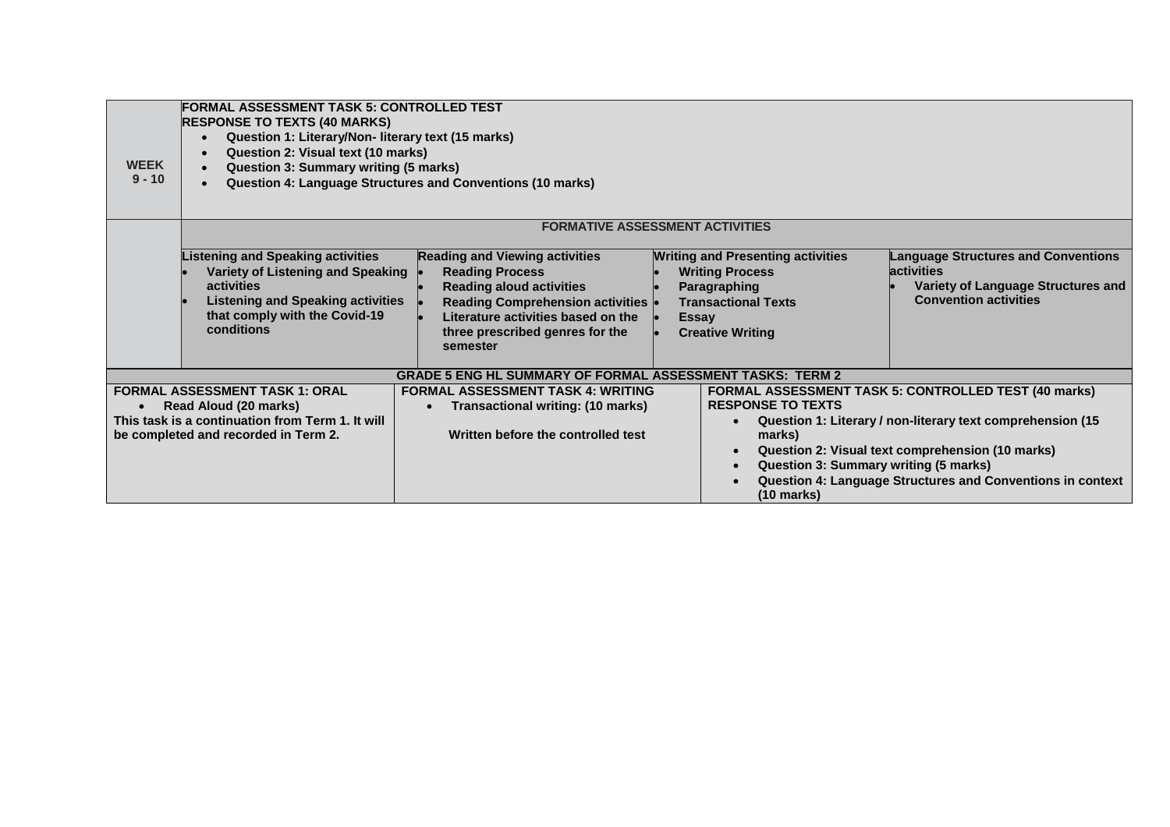| <b>WEEK</b><br>$9 - 10$ | FORMAL ASSESSMENT TASK 5: CONTROLLED TEST<br><b>RESPONSE TO TEXTS (40 MARKS)</b><br>Question 1: Literary/Non- literary text (15 marks)<br>$\bullet$<br>Question 2: Visual text (10 marks)<br>$\bullet$<br>Question 3: Summary writing (5 marks)<br><b>Question 4: Language Structures and Conventions (10 marks)</b> |                                                                                                                                                                                                                                |                                                                                                                                                             |                                                                                                                                                                                                                                                                               |  |
|-------------------------|----------------------------------------------------------------------------------------------------------------------------------------------------------------------------------------------------------------------------------------------------------------------------------------------------------------------|--------------------------------------------------------------------------------------------------------------------------------------------------------------------------------------------------------------------------------|-------------------------------------------------------------------------------------------------------------------------------------------------------------|-------------------------------------------------------------------------------------------------------------------------------------------------------------------------------------------------------------------------------------------------------------------------------|--|
|                         |                                                                                                                                                                                                                                                                                                                      |                                                                                                                                                                                                                                | <b>FORMATIVE ASSESSMENT ACTIVITIES</b>                                                                                                                      |                                                                                                                                                                                                                                                                               |  |
|                         | <b>Listening and Speaking activities</b><br>Variety of Listening and Speaking<br>activities<br><b>Listening and Speaking activities</b><br>that comply with the Covid-19<br>conditions                                                                                                                               | <b>Reading and Viewing activities</b><br><b>Reading Process</b><br><b>Reading aloud activities</b><br>Reading Comprehension activities  .<br>Literature activities based on the<br>three prescribed genres for the<br>semester | <b>Writing and Presenting activities</b><br><b>Writing Process</b><br>Paragraphing<br><b>Transactional Texts</b><br><b>Essay</b><br><b>Creative Writing</b> | <b>Language Structures and Conventions</b><br><b>activities</b><br>Variety of Language Structures and<br><b>Convention activities</b>                                                                                                                                         |  |
|                         |                                                                                                                                                                                                                                                                                                                      | <b>GRADE 5 ENG HL SUMMARY OF FORMAL ASSESSMENT TASKS: TERM 2</b>                                                                                                                                                               |                                                                                                                                                             |                                                                                                                                                                                                                                                                               |  |
|                         | <b>FORMAL ASSESSMENT TASK 1: ORAL</b><br>Read Aloud (20 marks)<br>This task is a continuation from Term 1. It will<br>be completed and recorded in Term 2.                                                                                                                                                           | <b>FORMAL ASSESSMENT TASK 4: WRITING</b><br><b>Transactional writing: (10 marks)</b><br>Written before the controlled test                                                                                                     | <b>RESPONSE TO TEXTS</b><br>marks)<br>$(10 \text{ marks})$                                                                                                  | FORMAL ASSESSMENT TASK 5: CONTROLLED TEST (40 marks)<br>Question 1: Literary / non-literary text comprehension (15<br>Question 2: Visual text comprehension (10 marks)<br>Question 3: Summary writing (5 marks)<br>Question 4: Language Structures and Conventions in context |  |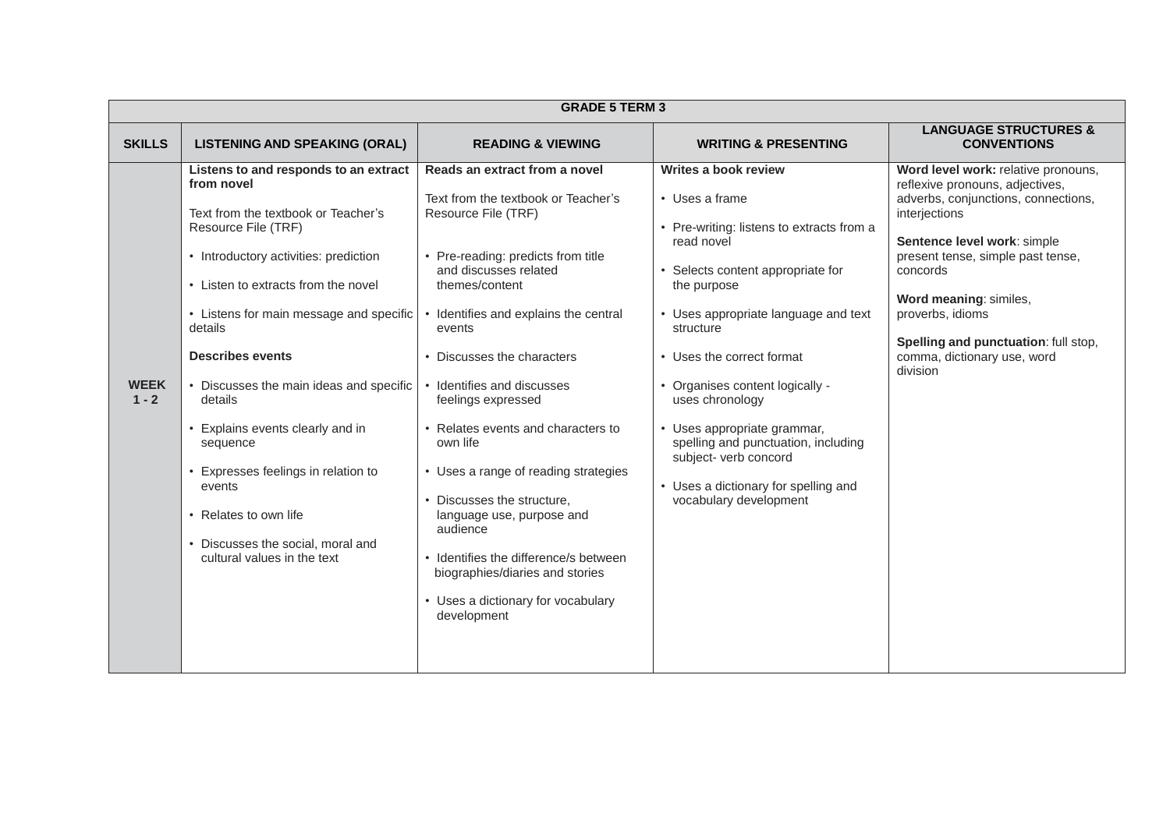|                        | <b>GRADE 5 TERM 3</b>                                                                                                                                                                                                                                                                                                                                                                                                                                                                                                                  |                                                                                                                                                                                                                                                                                                                                                                                                                                                                                                                                                                                                                     |                                                                                                                                                                                                                                                                                                                                                                                                                                                                |                                                                                                                                                                                                                                                                                                                                                 |  |
|------------------------|----------------------------------------------------------------------------------------------------------------------------------------------------------------------------------------------------------------------------------------------------------------------------------------------------------------------------------------------------------------------------------------------------------------------------------------------------------------------------------------------------------------------------------------|---------------------------------------------------------------------------------------------------------------------------------------------------------------------------------------------------------------------------------------------------------------------------------------------------------------------------------------------------------------------------------------------------------------------------------------------------------------------------------------------------------------------------------------------------------------------------------------------------------------------|----------------------------------------------------------------------------------------------------------------------------------------------------------------------------------------------------------------------------------------------------------------------------------------------------------------------------------------------------------------------------------------------------------------------------------------------------------------|-------------------------------------------------------------------------------------------------------------------------------------------------------------------------------------------------------------------------------------------------------------------------------------------------------------------------------------------------|--|
| <b>SKILLS</b>          | <b>LISTENING AND SPEAKING (ORAL)</b>                                                                                                                                                                                                                                                                                                                                                                                                                                                                                                   | <b>READING &amp; VIEWING</b>                                                                                                                                                                                                                                                                                                                                                                                                                                                                                                                                                                                        | <b>WRITING &amp; PRESENTING</b>                                                                                                                                                                                                                                                                                                                                                                                                                                | <b>LANGUAGE STRUCTURES &amp;</b><br><b>CONVENTIONS</b>                                                                                                                                                                                                                                                                                          |  |
| <b>WEEK</b><br>$1 - 2$ | Listens to and responds to an extract<br>from novel<br>Text from the textbook or Teacher's<br>Resource File (TRF)<br>• Introductory activities: prediction<br>• Listen to extracts from the novel<br>• Listens for main message and specific<br>details<br><b>Describes events</b><br>• Discusses the main ideas and specific<br>details<br>• Explains events clearly and in<br>sequence<br>• Expresses feelings in relation to<br>events<br>• Relates to own life<br>• Discusses the social, moral and<br>cultural values in the text | Reads an extract from a novel<br>Text from the textbook or Teacher's<br>Resource File (TRF)<br>• Pre-reading: predicts from title<br>and discusses related<br>themes/content<br>• Identifies and explains the central<br>events<br>• Discusses the characters<br>• Identifies and discusses<br>feelings expressed<br>• Relates events and characters to<br>own life<br>• Uses a range of reading strategies<br>• Discusses the structure,<br>language use, purpose and<br>audience<br>• Identifies the difference/s between<br>biographies/diaries and stories<br>• Uses a dictionary for vocabulary<br>development | Writes a book review<br>• Uses a frame<br>• Pre-writing: listens to extracts from a<br>read novel<br>• Selects content appropriate for<br>the purpose<br>• Uses appropriate language and text<br>structure<br>• Uses the correct format<br>• Organises content logically -<br>uses chronology<br>• Uses appropriate grammar,<br>spelling and punctuation, including<br>subject- verb concord<br>• Uses a dictionary for spelling and<br>vocabulary development | Word level work: relative pronouns,<br>reflexive pronouns, adjectives,<br>adverbs, conjunctions, connections,<br>interjections<br>Sentence level work: simple<br>present tense, simple past tense,<br>concords<br>Word meaning: similes,<br>proverbs, idioms<br>Spelling and punctuation: full stop,<br>comma, dictionary use, word<br>division |  |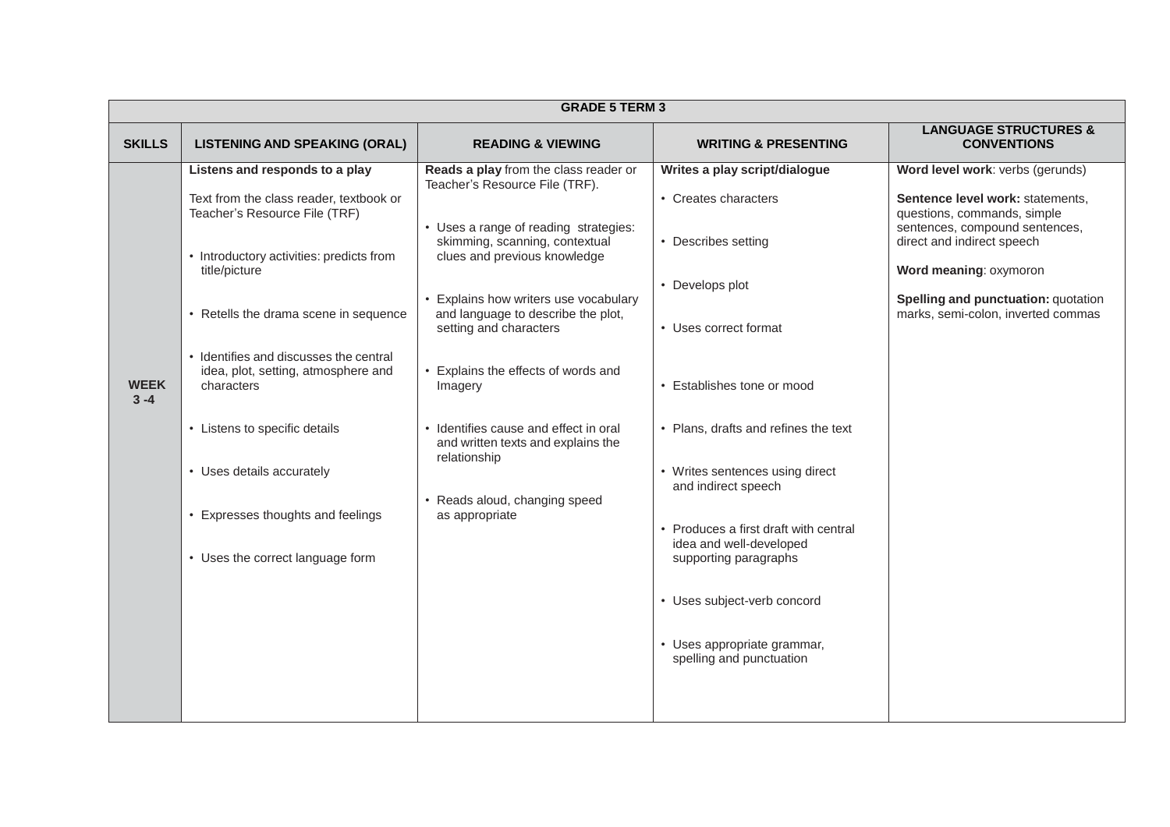|                        | <b>GRADE 5 TERM 3</b>                                                                                                                                                                                                                                                                                                                                                                                                                                  |                                                                                                                                                                                                                                                                                                                                                                                                                                                                                                 |                                                                                                                                                                                                                                                                                                                                                                                                                                                 |                                                                                                                                                                                                                                                                            |  |
|------------------------|--------------------------------------------------------------------------------------------------------------------------------------------------------------------------------------------------------------------------------------------------------------------------------------------------------------------------------------------------------------------------------------------------------------------------------------------------------|-------------------------------------------------------------------------------------------------------------------------------------------------------------------------------------------------------------------------------------------------------------------------------------------------------------------------------------------------------------------------------------------------------------------------------------------------------------------------------------------------|-------------------------------------------------------------------------------------------------------------------------------------------------------------------------------------------------------------------------------------------------------------------------------------------------------------------------------------------------------------------------------------------------------------------------------------------------|----------------------------------------------------------------------------------------------------------------------------------------------------------------------------------------------------------------------------------------------------------------------------|--|
| <b>SKILLS</b>          | <b>LISTENING AND SPEAKING (ORAL)</b>                                                                                                                                                                                                                                                                                                                                                                                                                   | <b>READING &amp; VIEWING</b>                                                                                                                                                                                                                                                                                                                                                                                                                                                                    | <b>WRITING &amp; PRESENTING</b>                                                                                                                                                                                                                                                                                                                                                                                                                 | <b>LANGUAGE STRUCTURES &amp;</b><br><b>CONVENTIONS</b>                                                                                                                                                                                                                     |  |
| <b>WEEK</b><br>$3 - 4$ | Listens and responds to a play<br>Text from the class reader, textbook or<br>Teacher's Resource File (TRF)<br>• Introductory activities: predicts from<br>title/picture<br>• Retells the drama scene in sequence<br>• Identifies and discusses the central<br>idea, plot, setting, atmosphere and<br>characters<br>• Listens to specific details<br>• Uses details accurately<br>• Expresses thoughts and feelings<br>• Uses the correct language form | Reads a play from the class reader or<br>Teacher's Resource File (TRF).<br>• Uses a range of reading strategies:<br>skimming, scanning, contextual<br>clues and previous knowledge<br>• Explains how writers use vocabulary<br>and language to describe the plot,<br>setting and characters<br>• Explains the effects of words and<br>Imagery<br>• Identifies cause and effect in oral<br>and written texts and explains the<br>relationship<br>• Reads aloud, changing speed<br>as appropriate | Writes a play script/dialogue<br>• Creates characters<br>• Describes setting<br>• Develops plot<br>• Uses correct format<br>• Establishes tone or mood<br>• Plans, drafts and refines the text<br>• Writes sentences using direct<br>and indirect speech<br>• Produces a first draft with central<br>idea and well-developed<br>supporting paragraphs<br>• Uses subject-verb concord<br>• Uses appropriate grammar,<br>spelling and punctuation | Word level work: verbs (gerunds)<br>Sentence level work: statements,<br>questions, commands, simple<br>sentences, compound sentences,<br>direct and indirect speech<br>Word meaning: oxymoron<br>Spelling and punctuation: quotation<br>marks, semi-colon, inverted commas |  |
|                        |                                                                                                                                                                                                                                                                                                                                                                                                                                                        |                                                                                                                                                                                                                                                                                                                                                                                                                                                                                                 |                                                                                                                                                                                                                                                                                                                                                                                                                                                 |                                                                                                                                                                                                                                                                            |  |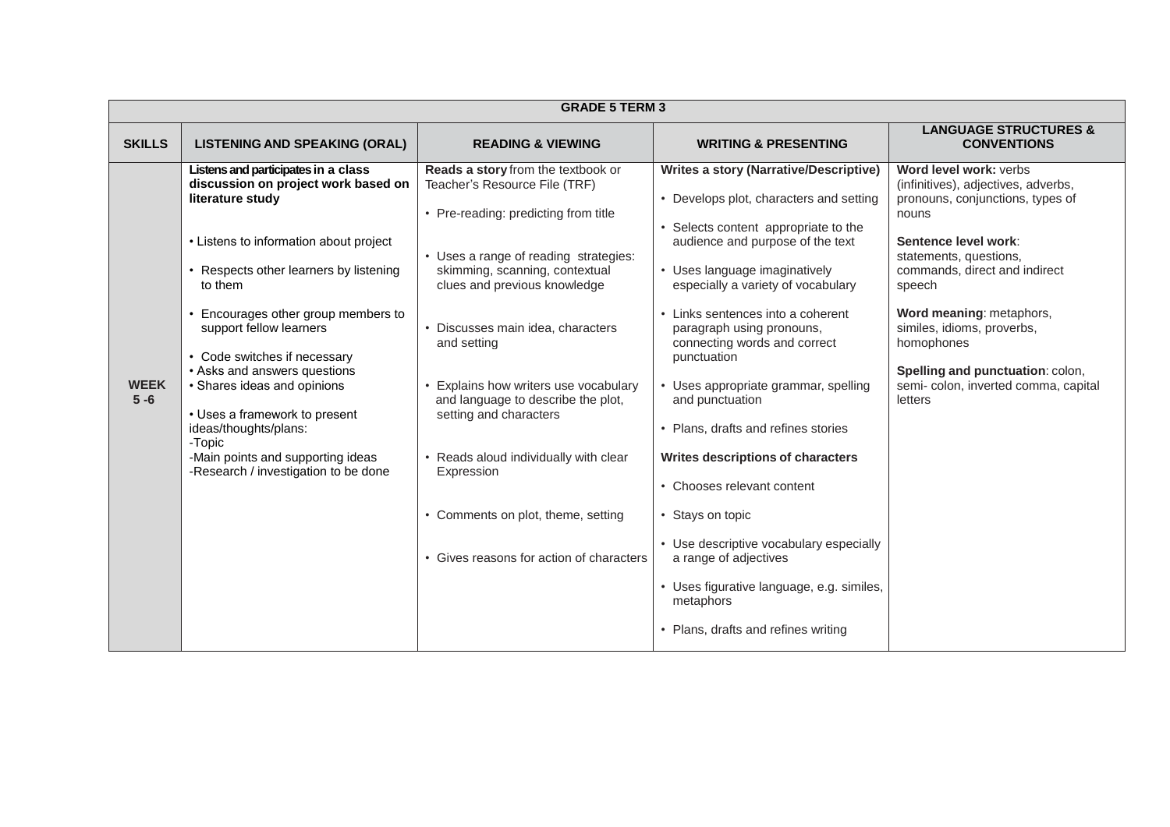| <b>GRADE 5 TERM 3</b>                                                                                                                                                                                                                                                                                                                                                                                                                                                                                                                                                                                                                                                                                                                                                                                                                                                                                                                                                                                                                                                                                                                                                                                                                                                                                                                                                                                                                                                                                                                                                                                                                                                                                                                                                                                                     |                                                                                                                                                                                                                                                                                                                                                   |  |  |  |
|---------------------------------------------------------------------------------------------------------------------------------------------------------------------------------------------------------------------------------------------------------------------------------------------------------------------------------------------------------------------------------------------------------------------------------------------------------------------------------------------------------------------------------------------------------------------------------------------------------------------------------------------------------------------------------------------------------------------------------------------------------------------------------------------------------------------------------------------------------------------------------------------------------------------------------------------------------------------------------------------------------------------------------------------------------------------------------------------------------------------------------------------------------------------------------------------------------------------------------------------------------------------------------------------------------------------------------------------------------------------------------------------------------------------------------------------------------------------------------------------------------------------------------------------------------------------------------------------------------------------------------------------------------------------------------------------------------------------------------------------------------------------------------------------------------------------------|---------------------------------------------------------------------------------------------------------------------------------------------------------------------------------------------------------------------------------------------------------------------------------------------------------------------------------------------------|--|--|--|
| <b>SKILLS</b><br><b>LISTENING AND SPEAKING (ORAL)</b><br><b>WRITING &amp; PRESENTING</b><br><b>READING &amp; VIEWING</b>                                                                                                                                                                                                                                                                                                                                                                                                                                                                                                                                                                                                                                                                                                                                                                                                                                                                                                                                                                                                                                                                                                                                                                                                                                                                                                                                                                                                                                                                                                                                                                                                                                                                                                  | <b>LANGUAGE STRUCTURES &amp;</b><br><b>CONVENTIONS</b>                                                                                                                                                                                                                                                                                            |  |  |  |
| Listens and participates in a class<br>Reads a story from the textbook or<br><b>Writes a story (Narrative/Descriptive)</b><br>discussion on project work based on<br>Teacher's Resource File (TRF)<br>literature study<br>• Develops plot, characters and setting<br>• Pre-reading: predicting from title<br>nouns<br>• Selects content appropriate to the<br>audience and purpose of the text<br>• Listens to information about project<br>• Uses a range of reading strategies:<br>• Respects other learners by listening<br>skimming, scanning, contextual<br>• Uses language imaginatively<br>clues and previous knowledge<br>to them<br>especially a variety of vocabulary<br>Encourages other group members to<br>• Links sentences into a coherent<br>• Discusses main idea, characters<br>support fellow learners<br>paragraph using pronouns,<br>connecting words and correct<br>and setting<br>• Code switches if necessary<br>punctuation<br>• Asks and answers questions<br><b>WEEK</b><br>• Shares ideas and opinions<br>• Explains how writers use vocabulary<br>• Uses appropriate grammar, spelling<br>$5 - 6$<br>and language to describe the plot,<br>letters<br>and punctuation<br>setting and characters<br>• Uses a framework to present<br>ideas/thoughts/plans:<br>• Plans, drafts and refines stories<br>-Topic<br>-Main points and supporting ideas<br>• Reads aloud individually with clear<br>Writes descriptions of characters<br>-Research / investigation to be done<br>Expression<br>• Chooses relevant content<br>• Comments on plot, theme, setting<br>• Stays on topic<br>• Use descriptive vocabulary especially<br>• Gives reasons for action of characters<br>a range of adjectives<br>• Uses figurative language, e.g. similes,<br>metaphors<br>• Plans, drafts and refines writing | Word level work: verbs<br>(infinitives), adjectives, adverbs,<br>pronouns, conjunctions, types of<br>Sentence level work:<br>statements, questions,<br>commands, direct and indirect<br>speech<br>Word meaning: metaphors,<br>similes, idioms, proverbs,<br>homophones<br>Spelling and punctuation: colon,<br>semi-colon, inverted comma, capital |  |  |  |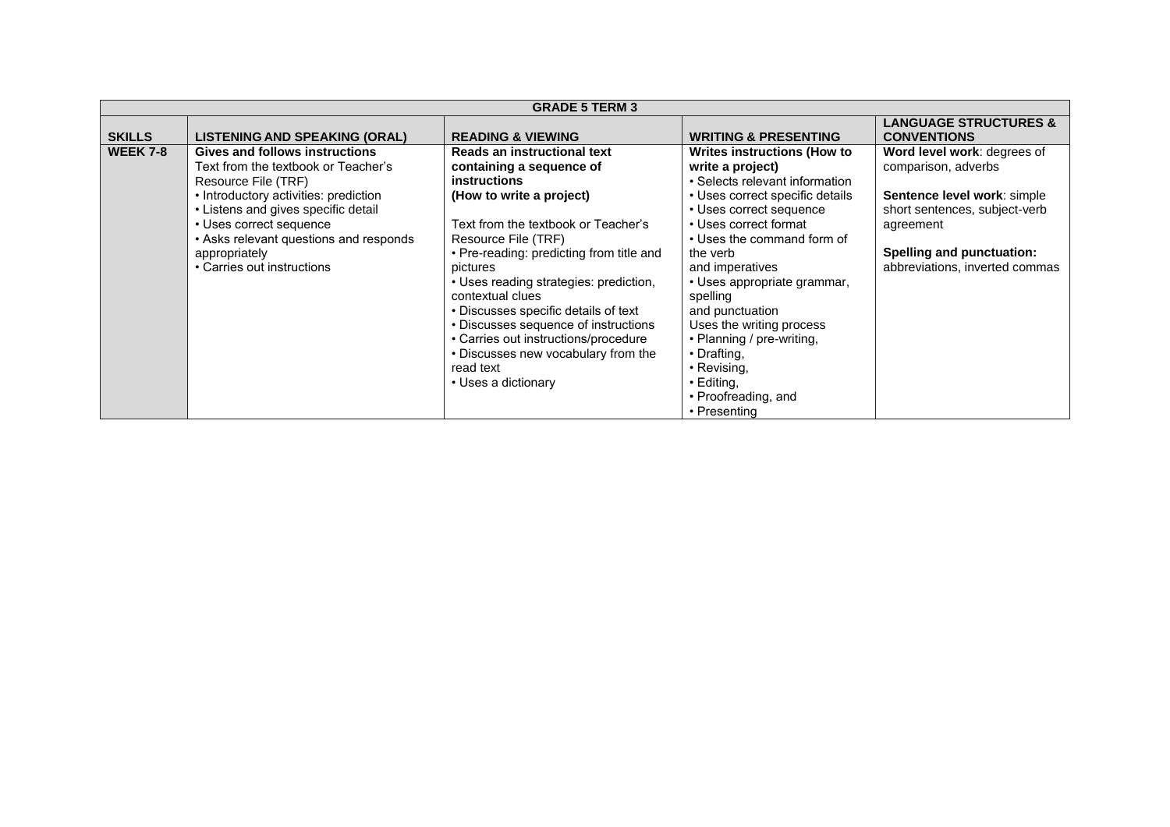|                 | <b>GRADE 5 TERM 3</b>                  |                                          |                                    |                                  |  |
|-----------------|----------------------------------------|------------------------------------------|------------------------------------|----------------------------------|--|
|                 |                                        |                                          |                                    | <b>LANGUAGE STRUCTURES &amp;</b> |  |
| <b>SKILLS</b>   | <b>LISTENING AND SPEAKING (ORAL)</b>   | <b>READING &amp; VIEWING</b>             | <b>WRITING &amp; PRESENTING</b>    | <b>CONVENTIONS</b>               |  |
| <b>WEEK 7-8</b> | Gives and follows instructions         | Reads an instructional text              | <b>Writes instructions (How to</b> | Word level work: degrees of      |  |
|                 | Text from the textbook or Teacher's    | containing a sequence of                 | write a project)                   | comparison, adverbs              |  |
|                 | Resource File (TRF)                    | <b>instructions</b>                      | • Selects relevant information     |                                  |  |
|                 | • Introductory activities: prediction  | (How to write a project)                 | • Uses correct specific details    | Sentence level work: simple      |  |
|                 | • Listens and gives specific detail    |                                          | • Uses correct sequence            | short sentences, subject-verb    |  |
|                 | • Uses correct sequence                | Text from the textbook or Teacher's      | • Uses correct format              | agreement                        |  |
|                 | • Asks relevant questions and responds | Resource File (TRF)                      | • Uses the command form of         |                                  |  |
|                 | appropriately                          | • Pre-reading: predicting from title and | the verb                           | Spelling and punctuation:        |  |
|                 | • Carries out instructions             | pictures                                 | and imperatives                    | abbreviations, inverted commas   |  |
|                 |                                        | • Uses reading strategies: prediction,   | • Uses appropriate grammar,        |                                  |  |
|                 |                                        | contextual clues                         | spelling                           |                                  |  |
|                 |                                        | • Discusses specific details of text     | and punctuation                    |                                  |  |
|                 |                                        | • Discusses sequence of instructions     | Uses the writing process           |                                  |  |
|                 |                                        | • Carries out instructions/procedure     | • Planning / pre-writing,          |                                  |  |
|                 |                                        | • Discusses new vocabulary from the      | • Drafting,                        |                                  |  |
|                 |                                        | read text                                | $\cdot$ Revising,                  |                                  |  |
|                 |                                        | • Uses a dictionary                      | $\cdot$ Editing,                   |                                  |  |
|                 |                                        |                                          | • Proofreading, and                |                                  |  |
|                 |                                        |                                          | • Presenting                       |                                  |  |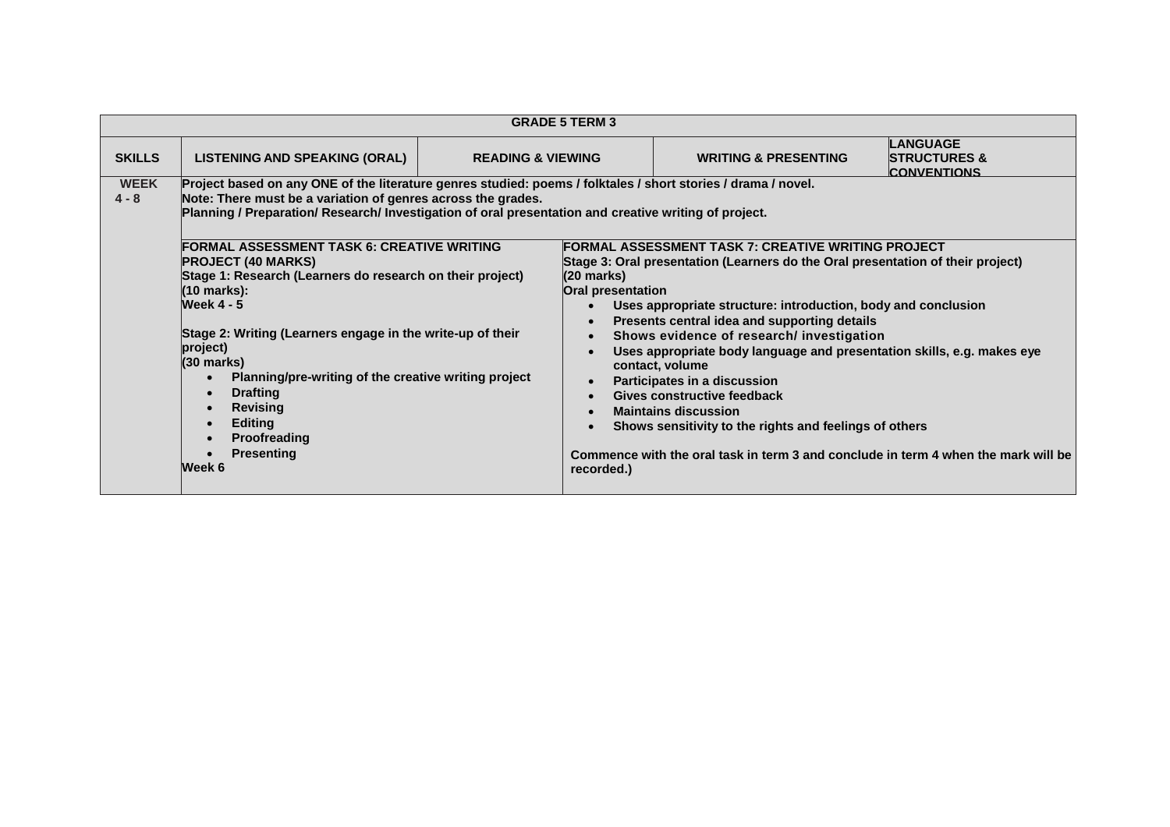|                                                                                                                                                                                                                                                                                                                  |                                                                                                                                                                                                                                                                                                                                                                                                                                                                         |                              | <b>GRADE 5 TERM 3</b>                                                                                                                              |                                                                                                                                                                                                                                                                                                                                                                                                                                                                                                                                                                                                                                                       |                                                           |
|------------------------------------------------------------------------------------------------------------------------------------------------------------------------------------------------------------------------------------------------------------------------------------------------------------------|-------------------------------------------------------------------------------------------------------------------------------------------------------------------------------------------------------------------------------------------------------------------------------------------------------------------------------------------------------------------------------------------------------------------------------------------------------------------------|------------------------------|----------------------------------------------------------------------------------------------------------------------------------------------------|-------------------------------------------------------------------------------------------------------------------------------------------------------------------------------------------------------------------------------------------------------------------------------------------------------------------------------------------------------------------------------------------------------------------------------------------------------------------------------------------------------------------------------------------------------------------------------------------------------------------------------------------------------|-----------------------------------------------------------|
| <b>SKILLS</b>                                                                                                                                                                                                                                                                                                    | LISTENING AND SPEAKING (ORAL)                                                                                                                                                                                                                                                                                                                                                                                                                                           | <b>READING &amp; VIEWING</b> |                                                                                                                                                    | <b>WRITING &amp; PRESENTING</b>                                                                                                                                                                                                                                                                                                                                                                                                                                                                                                                                                                                                                       | LANGUAGE<br><b>STRUCTURES &amp;</b><br><b>CONVENTIONS</b> |
| <b>WEEK</b><br>Project based on any ONE of the literature genres studied: poems / folktales / short stories / drama / novel.<br>Note: There must be a variation of genres across the grades.<br>$4 - 8$<br>Planning / Preparation/ Research/ Investigation of oral presentation and creative writing of project. |                                                                                                                                                                                                                                                                                                                                                                                                                                                                         |                              |                                                                                                                                                    |                                                                                                                                                                                                                                                                                                                                                                                                                                                                                                                                                                                                                                                       |                                                           |
|                                                                                                                                                                                                                                                                                                                  | <b>FORMAL ASSESSMENT TASK 6: CREATIVE WRITING</b><br><b>PROJECT (40 MARKS)</b><br>Stage 1: Research (Learners do research on their project)<br>(10 marks):<br><b>Week 4 - 5</b><br>Stage 2: Writing (Learners engage in the write-up of their<br>project)<br>(30 marks)<br>Planning/pre-writing of the creative writing project<br><b>Drafting</b><br>$\bullet$<br><b>Revising</b><br>$\bullet$<br><b>Editing</b><br><b>Proofreading</b><br><b>Presenting</b><br>Week 6 |                              | $(20 \text{ marks})$<br>Oral presentation<br>$\bullet$<br>$\bullet$<br>$\bullet$<br>$\bullet$<br>$\bullet$<br>$\bullet$<br>$\bullet$<br>recorded.) | <b>FORMAL ASSESSMENT TASK 7: CREATIVE WRITING PROJECT</b><br>Stage 3: Oral presentation (Learners do the Oral presentation of their project)<br>Uses appropriate structure: introduction, body and conclusion<br>Presents central idea and supporting details<br>Shows evidence of research/ investigation<br>Uses appropriate body language and presentation skills, e.g. makes eye<br>contact, volume<br>Participates in a discussion<br>Gives constructive feedback<br><b>Maintains discussion</b><br>Shows sensitivity to the rights and feelings of others<br>Commence with the oral task in term 3 and conclude in term 4 when the mark will be |                                                           |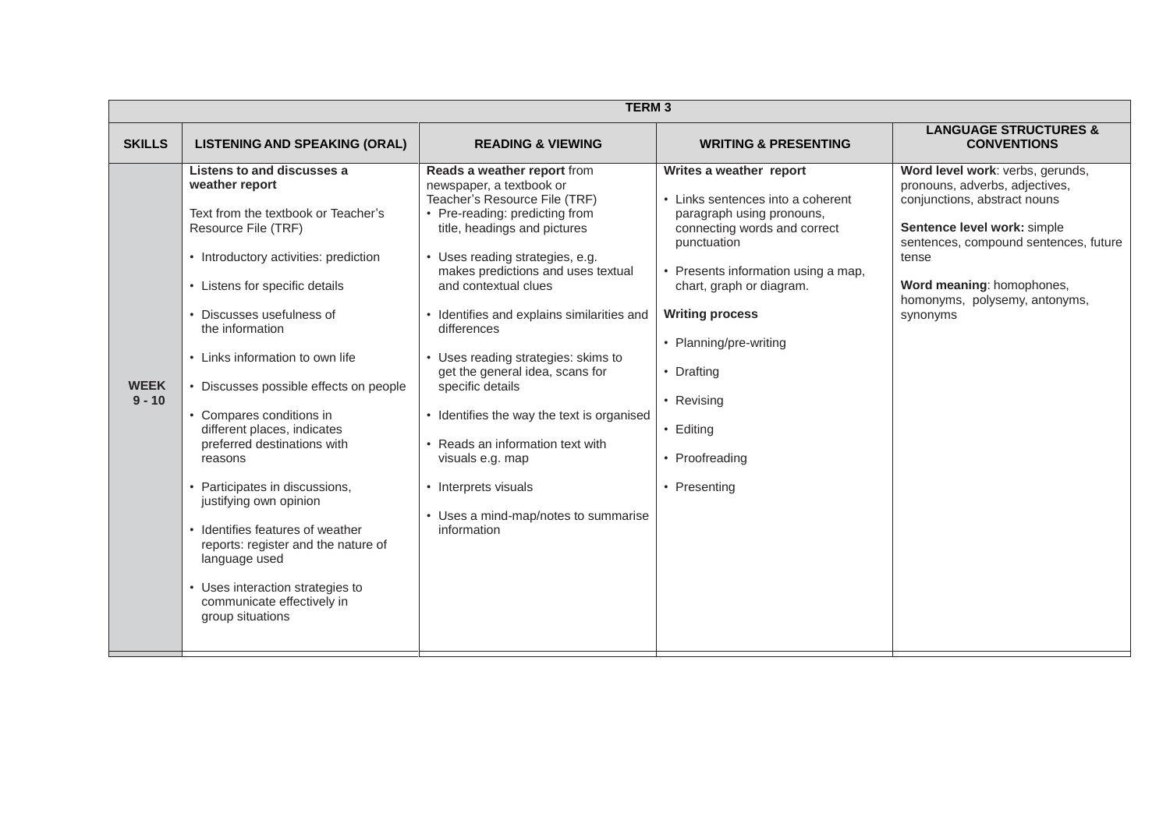|                         |                                                                                                                                                                                                                                                                                                                                                                                                                                                                                                                                                                                                                                                             | <b>TERM3</b>                                                                                                                                                                                                                                                                                                                                                                                                                                                                                                                                                                                                |                                                                                                                                                                                                                                                                                                                                          |                                                                                                                                                                                                                                                               |
|-------------------------|-------------------------------------------------------------------------------------------------------------------------------------------------------------------------------------------------------------------------------------------------------------------------------------------------------------------------------------------------------------------------------------------------------------------------------------------------------------------------------------------------------------------------------------------------------------------------------------------------------------------------------------------------------------|-------------------------------------------------------------------------------------------------------------------------------------------------------------------------------------------------------------------------------------------------------------------------------------------------------------------------------------------------------------------------------------------------------------------------------------------------------------------------------------------------------------------------------------------------------------------------------------------------------------|------------------------------------------------------------------------------------------------------------------------------------------------------------------------------------------------------------------------------------------------------------------------------------------------------------------------------------------|---------------------------------------------------------------------------------------------------------------------------------------------------------------------------------------------------------------------------------------------------------------|
| <b>SKILLS</b>           | <b>LISTENING AND SPEAKING (ORAL)</b>                                                                                                                                                                                                                                                                                                                                                                                                                                                                                                                                                                                                                        | <b>READING &amp; VIEWING</b>                                                                                                                                                                                                                                                                                                                                                                                                                                                                                                                                                                                | <b>WRITING &amp; PRESENTING</b>                                                                                                                                                                                                                                                                                                          | <b>LANGUAGE STRUCTURES &amp;</b><br><b>CONVENTIONS</b>                                                                                                                                                                                                        |
| <b>WEEK</b><br>$9 - 10$ | Listens to and discusses a<br>weather report<br>Text from the textbook or Teacher's<br>Resource File (TRF)<br>• Introductory activities: prediction<br>• Listens for specific details<br>Discusses usefulness of<br>the information<br>• Links information to own life<br>• Discusses possible effects on people<br>Compares conditions in<br>different places, indicates<br>preferred destinations with<br>reasons<br>Participates in discussions,<br>justifying own opinion<br>Identifies features of weather<br>reports: register and the nature of<br>language used<br>Uses interaction strategies to<br>communicate effectively in<br>group situations | Reads a weather report from<br>newspaper, a textbook or<br>Teacher's Resource File (TRF)<br>• Pre-reading: predicting from<br>title, headings and pictures<br>• Uses reading strategies, e.g.<br>makes predictions and uses textual<br>and contextual clues<br>• Identifies and explains similarities and<br>differences<br>• Uses reading strategies: skims to<br>get the general idea, scans for<br>specific details<br>• Identifies the way the text is organised<br>• Reads an information text with<br>visuals e.g. map<br>• Interprets visuals<br>• Uses a mind-map/notes to summarise<br>information | Writes a weather report<br>Links sentences into a coherent<br>paragraph using pronouns,<br>connecting words and correct<br>punctuation<br>• Presents information using a map,<br>chart, graph or diagram.<br><b>Writing process</b><br>• Planning/pre-writing<br>• Drafting<br>• Revising<br>• Editing<br>• Proofreading<br>• Presenting | Word level work: verbs, gerunds,<br>pronouns, adverbs, adjectives,<br>conjunctions, abstract nouns<br>Sentence level work: simple<br>sentences, compound sentences, future<br>tense<br>Word meaning: homophones,<br>homonyms, polysemy, antonyms,<br>synonyms |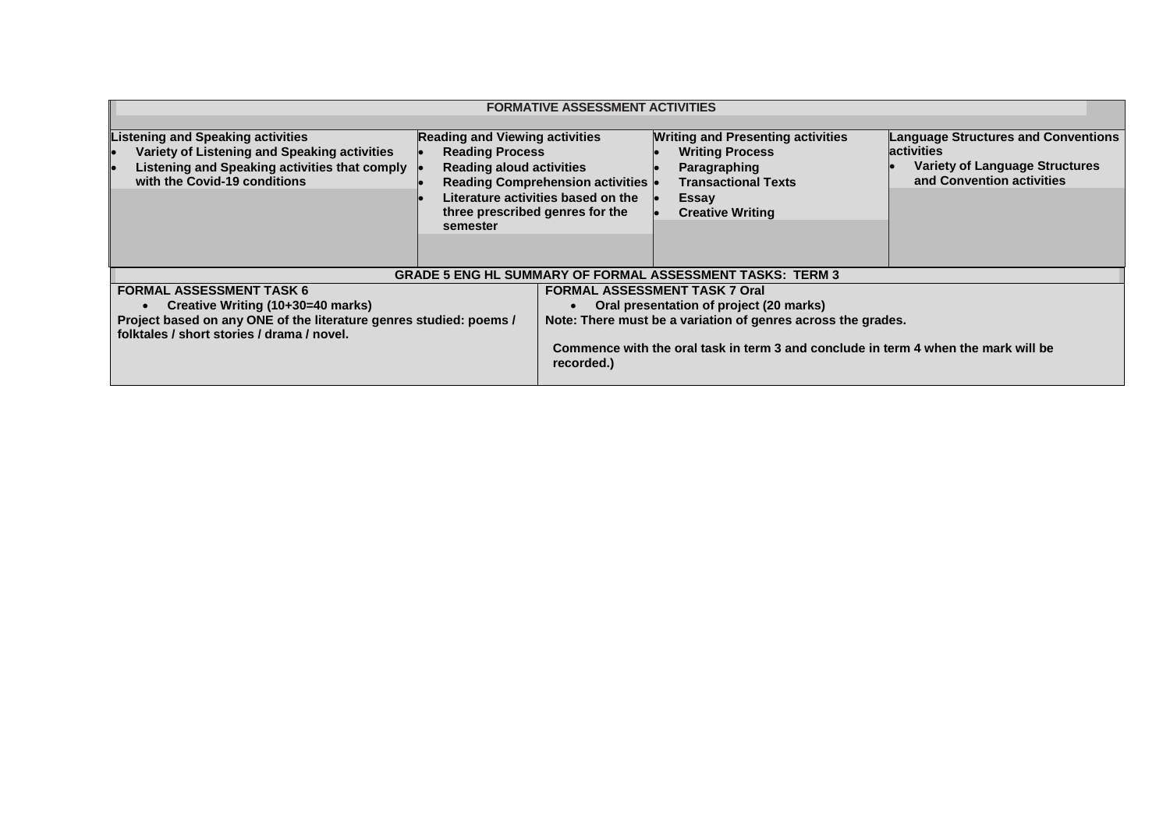| <b>FORMATIVE ASSESSMENT ACTIVITIES</b>                                                                                                                                                   |                                                                                                                                                   |                                                                               |                                                                                                                                                                                                                                       |                                                                                                                                       |
|------------------------------------------------------------------------------------------------------------------------------------------------------------------------------------------|---------------------------------------------------------------------------------------------------------------------------------------------------|-------------------------------------------------------------------------------|---------------------------------------------------------------------------------------------------------------------------------------------------------------------------------------------------------------------------------------|---------------------------------------------------------------------------------------------------------------------------------------|
| Listening and Speaking activities<br>Variety of Listening and Speaking activities<br>Listening and Speaking activities that comply<br>with the Covid-19 conditions                       | <b>Reading and Viewing activities</b><br><b>Reading Process</b><br><b>Reading aloud activities</b><br>three prescribed genres for the<br>semester | <b>Reading Comprehension activities</b><br>Literature activities based on the | <b>Writing and Presenting activities</b><br><b>Writing Process</b><br>Paragraphing<br><b>Transactional Texts</b><br><b>Essay</b><br><b>Creative Writing</b>                                                                           | <b>Language Structures and Conventions</b><br><b>activities</b><br><b>Variety of Language Structures</b><br>and Convention activities |
|                                                                                                                                                                                          |                                                                                                                                                   |                                                                               | <b>GRADE 5 ENG HL SUMMARY OF FORMAL ASSESSMENT TASKS: TERM 3</b>                                                                                                                                                                      |                                                                                                                                       |
| <b>FORMAL ASSESSMENT TASK 6</b><br>Creative Writing (10+30=40 marks)<br>Project based on any ONE of the literature genres studied: poems /<br>folktales / short stories / drama / novel. |                                                                                                                                                   | recorded.)                                                                    | <b>FORMAL ASSESSMENT TASK 7 Oral</b><br>Oral presentation of project (20 marks)<br>Note: There must be a variation of genres across the grades.<br>Commence with the oral task in term 3 and conclude in term 4 when the mark will be |                                                                                                                                       |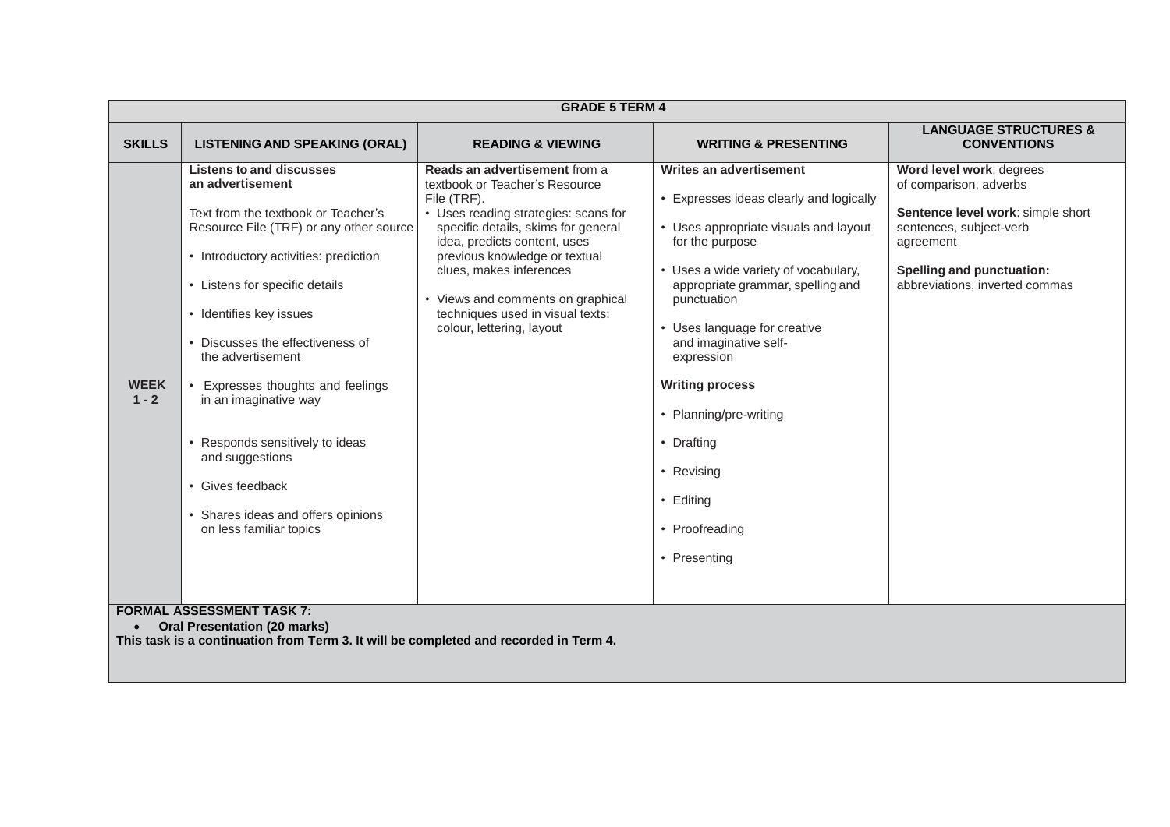|                                                                                                                                                                  | <b>GRADE 5 TERM 4</b>                                                                                                                                                                                                                                                                                                                                                                                                                                                                               |                                                                                                                                                                                                                                                                                                                                                                 |                                                                                                                                                                                                                                                                                                                                                                                                                                  |                                                                                                                                                                                                       |
|------------------------------------------------------------------------------------------------------------------------------------------------------------------|-----------------------------------------------------------------------------------------------------------------------------------------------------------------------------------------------------------------------------------------------------------------------------------------------------------------------------------------------------------------------------------------------------------------------------------------------------------------------------------------------------|-----------------------------------------------------------------------------------------------------------------------------------------------------------------------------------------------------------------------------------------------------------------------------------------------------------------------------------------------------------------|----------------------------------------------------------------------------------------------------------------------------------------------------------------------------------------------------------------------------------------------------------------------------------------------------------------------------------------------------------------------------------------------------------------------------------|-------------------------------------------------------------------------------------------------------------------------------------------------------------------------------------------------------|
| <b>SKILLS</b>                                                                                                                                                    | <b>LISTENING AND SPEAKING (ORAL)</b>                                                                                                                                                                                                                                                                                                                                                                                                                                                                | <b>READING &amp; VIEWING</b>                                                                                                                                                                                                                                                                                                                                    | <b>WRITING &amp; PRESENTING</b>                                                                                                                                                                                                                                                                                                                                                                                                  | <b>LANGUAGE STRUCTURES &amp;</b><br><b>CONVENTIONS</b>                                                                                                                                                |
| <b>WEEK</b><br>$1 - 2$                                                                                                                                           | <b>Listens to and discusses</b><br>an advertisement<br>Text from the textbook or Teacher's<br>Resource File (TRF) or any other source<br>• Introductory activities: prediction<br>• Listens for specific details<br>• Identifies key issues<br>Discusses the effectiveness of<br>the advertisement<br>Expresses thoughts and feelings<br>in an imaginative way<br>Responds sensitively to ideas<br>and suggestions<br>Gives feedback<br>Shares ideas and offers opinions<br>on less familiar topics | Reads an advertisement from a<br>textbook or Teacher's Resource<br>File (TRF).<br>• Uses reading strategies: scans for<br>specific details, skims for general<br>idea, predicts content, uses<br>previous knowledge or textual<br>clues, makes inferences<br>• Views and comments on graphical<br>techniques used in visual texts:<br>colour, lettering, layout | Writes an advertisement<br>• Expresses ideas clearly and logically<br>• Uses appropriate visuals and layout<br>for the purpose<br>• Uses a wide variety of vocabulary,<br>appropriate grammar, spelling and<br>punctuation<br>• Uses language for creative<br>and imaginative self-<br>expression<br><b>Writing process</b><br>• Planning/pre-writing<br>• Drafting<br>• Revising<br>• Editing<br>• Proofreading<br>• Presenting | Word level work: degrees<br>of comparison, adverbs<br>Sentence level work: simple short<br>sentences, subject-verb<br>agreement<br><b>Spelling and punctuation:</b><br>abbreviations, inverted commas |
| <b>FORMAL ASSESSMENT TASK 7:</b><br><b>Oral Presentation (20 marks)</b><br>This task is a continuation from Term 3. It will be completed and recorded in Term 4. |                                                                                                                                                                                                                                                                                                                                                                                                                                                                                                     |                                                                                                                                                                                                                                                                                                                                                                 |                                                                                                                                                                                                                                                                                                                                                                                                                                  |                                                                                                                                                                                                       |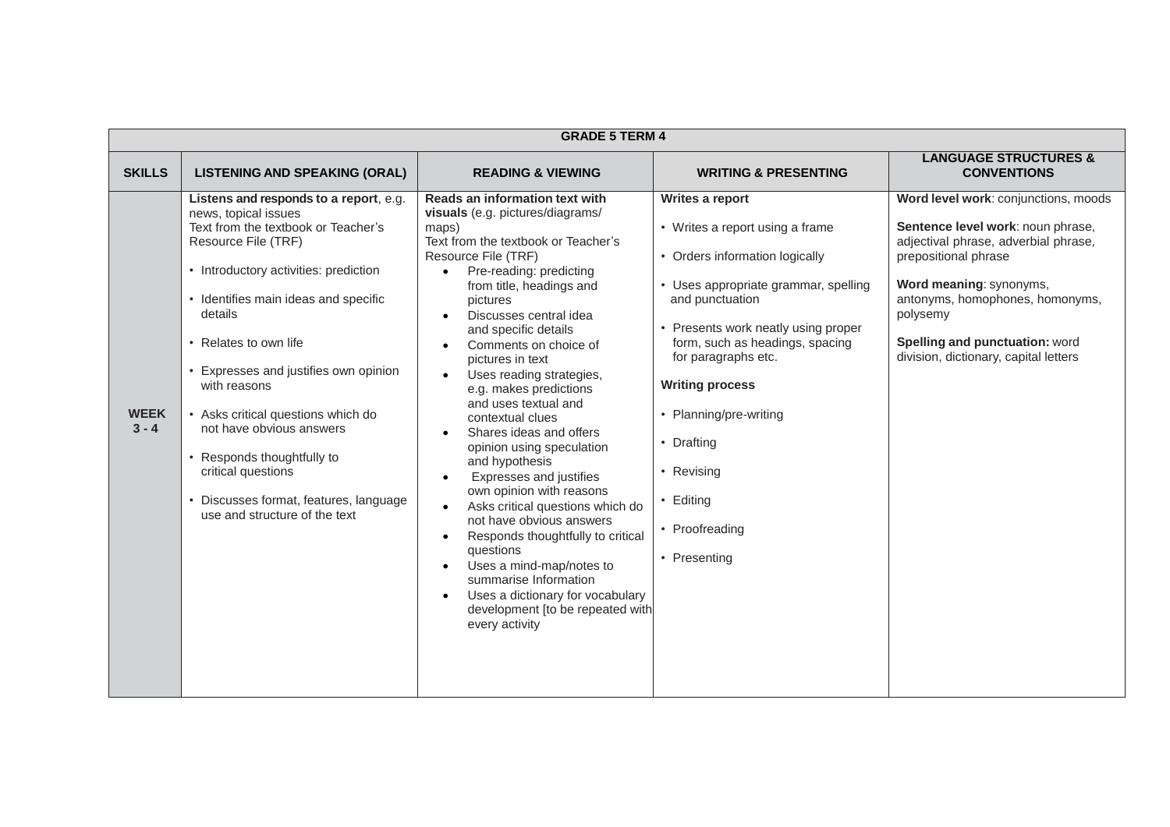|                        | <b>GRADE 5 TERM 4</b>                                                                                                                                                                                                                                                                                                                                                                                                                                                                                   |                                                                                                                                                                                                                                                                                                                                                                                                                                                                                                                                                                                                                                                                                                                                                                                                                                                                                                                                      |                                                                                                                                                                                                                                                                                                                                                                             |                                                                                                                                                                                                                                                                                                |  |
|------------------------|---------------------------------------------------------------------------------------------------------------------------------------------------------------------------------------------------------------------------------------------------------------------------------------------------------------------------------------------------------------------------------------------------------------------------------------------------------------------------------------------------------|--------------------------------------------------------------------------------------------------------------------------------------------------------------------------------------------------------------------------------------------------------------------------------------------------------------------------------------------------------------------------------------------------------------------------------------------------------------------------------------------------------------------------------------------------------------------------------------------------------------------------------------------------------------------------------------------------------------------------------------------------------------------------------------------------------------------------------------------------------------------------------------------------------------------------------------|-----------------------------------------------------------------------------------------------------------------------------------------------------------------------------------------------------------------------------------------------------------------------------------------------------------------------------------------------------------------------------|------------------------------------------------------------------------------------------------------------------------------------------------------------------------------------------------------------------------------------------------------------------------------------------------|--|
| <b>SKILLS</b>          | <b>LISTENING AND SPEAKING (ORAL)</b>                                                                                                                                                                                                                                                                                                                                                                                                                                                                    | <b>READING &amp; VIEWING</b>                                                                                                                                                                                                                                                                                                                                                                                                                                                                                                                                                                                                                                                                                                                                                                                                                                                                                                         | <b>WRITING &amp; PRESENTING</b>                                                                                                                                                                                                                                                                                                                                             | <b>LANGUAGE STRUCTURES &amp;</b><br><b>CONVENTIONS</b>                                                                                                                                                                                                                                         |  |
| <b>WEEK</b><br>$3 - 4$ | Listens and responds to a report, e.g.<br>news, topical issues<br>Text from the textbook or Teacher's<br>Resource File (TRF)<br>• Introductory activities: prediction<br>• Identifies main ideas and specific<br>details<br>• Relates to own life<br>Expresses and justifies own opinion<br>with reasons<br>• Asks critical questions which do<br>not have obvious answers<br>• Responds thoughtfully to<br>critical questions<br>Discusses format, features, language<br>use and structure of the text | Reads an information text with<br>visuals (e.g. pictures/diagrams/<br>maps)<br>Text from the textbook or Teacher's<br>Resource File (TRF)<br>Pre-reading: predicting<br>from title, headings and<br>pictures<br>Discusses central idea<br>$\bullet$<br>and specific details<br>Comments on choice of<br>$\bullet$<br>pictures in text<br>Uses reading strategies,<br>$\bullet$<br>e.g. makes predictions<br>and uses textual and<br>contextual clues<br>Shares ideas and offers<br>$\bullet$<br>opinion using speculation<br>and hypothesis<br>Expresses and justifies<br>$\bullet$<br>own opinion with reasons<br>Asks critical questions which do<br>$\bullet$<br>not have obvious answers<br>Responds thoughtfully to critical<br>$\bullet$<br>questions<br>Uses a mind-map/notes to<br>$\bullet$<br>summarise Information<br>Uses a dictionary for vocabulary<br>$\bullet$<br>development [to be repeated with<br>every activity | Writes a report<br>• Writes a report using a frame<br>• Orders information logically<br>• Uses appropriate grammar, spelling<br>and punctuation<br>Presents work neatly using proper<br>form, such as headings, spacing<br>for paragraphs etc.<br><b>Writing process</b><br>Planning/pre-writing<br>• Drafting<br>• Revising<br>• Editing<br>• Proofreading<br>• Presenting | Word level work: conjunctions, moods<br>Sentence level work: noun phrase,<br>adjectival phrase, adverbial phrase,<br>prepositional phrase<br>Word meaning: synonyms,<br>antonyms, homophones, homonyms,<br>polysemy<br>Spelling and punctuation: word<br>division, dictionary, capital letters |  |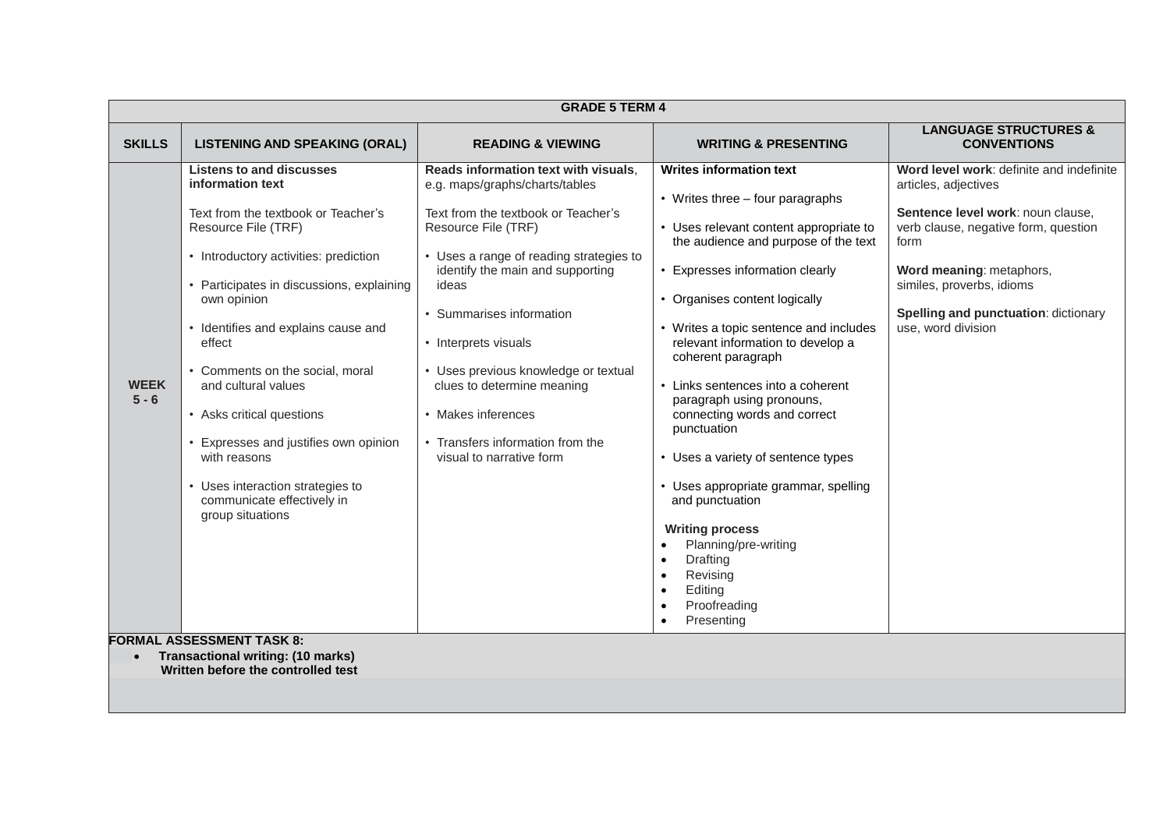|                        | <b>GRADE 5 TERM 4</b>                                                                                                                                                                                                                                                                                                                                                                                                                                                                                                                           |                                                                                                                                                                                                                                                                                                                                                                                                                                              |                                                                                                                                                                                                                                                                                                                                                                                                                                                                                                                                                                                                                                                                                                                                     |                                                                                                                                                                                                                                                                              |  |
|------------------------|-------------------------------------------------------------------------------------------------------------------------------------------------------------------------------------------------------------------------------------------------------------------------------------------------------------------------------------------------------------------------------------------------------------------------------------------------------------------------------------------------------------------------------------------------|----------------------------------------------------------------------------------------------------------------------------------------------------------------------------------------------------------------------------------------------------------------------------------------------------------------------------------------------------------------------------------------------------------------------------------------------|-------------------------------------------------------------------------------------------------------------------------------------------------------------------------------------------------------------------------------------------------------------------------------------------------------------------------------------------------------------------------------------------------------------------------------------------------------------------------------------------------------------------------------------------------------------------------------------------------------------------------------------------------------------------------------------------------------------------------------------|------------------------------------------------------------------------------------------------------------------------------------------------------------------------------------------------------------------------------------------------------------------------------|--|
| <b>SKILLS</b>          | <b>LISTENING AND SPEAKING (ORAL)</b>                                                                                                                                                                                                                                                                                                                                                                                                                                                                                                            | <b>READING &amp; VIEWING</b>                                                                                                                                                                                                                                                                                                                                                                                                                 | <b>WRITING &amp; PRESENTING</b>                                                                                                                                                                                                                                                                                                                                                                                                                                                                                                                                                                                                                                                                                                     | <b>LANGUAGE STRUCTURES &amp;</b><br><b>CONVENTIONS</b>                                                                                                                                                                                                                       |  |
| <b>WEEK</b><br>$5 - 6$ | <b>Listens to and discusses</b><br>information text<br>Text from the textbook or Teacher's<br>Resource File (TRF)<br>• Introductory activities: prediction<br>• Participates in discussions, explaining<br>own opinion<br>• Identifies and explains cause and<br>effect<br>• Comments on the social, moral<br>and cultural values<br>• Asks critical questions<br>Expresses and justifies own opinion<br>with reasons<br>• Uses interaction strategies to<br>communicate effectively in<br>group situations<br><b>FORMAL ASSESSMENT TASK 8:</b> | Reads information text with visuals.<br>e.g. maps/graphs/charts/tables<br>Text from the textbook or Teacher's<br>Resource File (TRF)<br>• Uses a range of reading strategies to<br>identify the main and supporting<br>ideas<br>• Summarises information<br>• Interprets visuals<br>• Uses previous knowledge or textual<br>clues to determine meaning<br>• Makes inferences<br>• Transfers information from the<br>visual to narrative form | <b>Writes information text</b><br>• Writes three – four paragraphs<br>• Uses relevant content appropriate to<br>the audience and purpose of the text<br>• Expresses information clearly<br>• Organises content logically<br>• Writes a topic sentence and includes<br>relevant information to develop a<br>coherent paragraph<br>• Links sentences into a coherent<br>paragraph using pronouns,<br>connecting words and correct<br>punctuation<br>• Uses a variety of sentence types<br>• Uses appropriate grammar, spelling<br>and punctuation<br><b>Writing process</b><br>Planning/pre-writing<br>$\bullet$<br>Drafting<br>$\bullet$<br>Revising<br>$\bullet$<br>Editing<br>$\bullet$<br>Proofreading<br>$\bullet$<br>Presenting | Word level work: definite and indefinite<br>articles, adjectives<br>Sentence level work: noun clause,<br>verb clause, negative form, question<br>form<br>Word meaning: metaphors,<br>similes, proverbs, idioms<br>Spelling and punctuation: dictionary<br>use, word division |  |
| $\bullet$              | <b>Transactional writing: (10 marks)</b><br>Written before the controlled test                                                                                                                                                                                                                                                                                                                                                                                                                                                                  |                                                                                                                                                                                                                                                                                                                                                                                                                                              |                                                                                                                                                                                                                                                                                                                                                                                                                                                                                                                                                                                                                                                                                                                                     |                                                                                                                                                                                                                                                                              |  |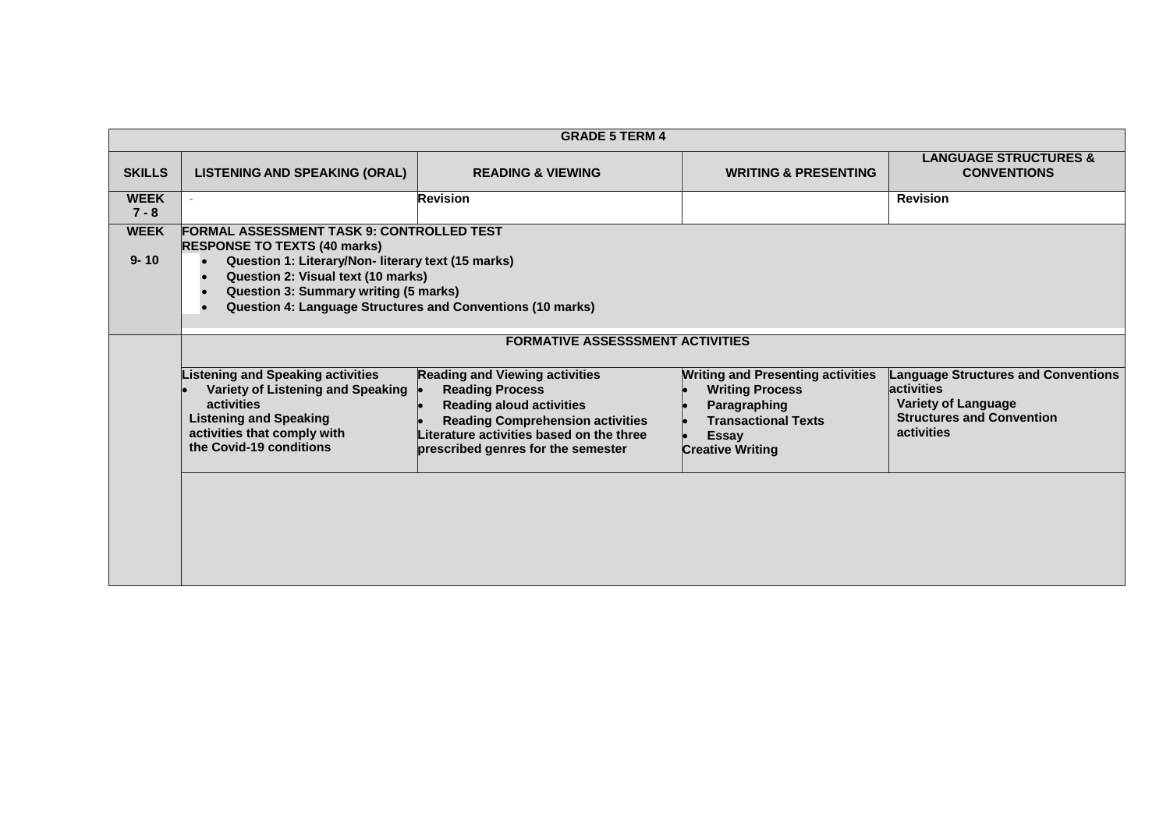|                         | <b>GRADE 5 TERM 4</b>                                                                                                                                                                                                                                                                             |                                                                                                                                                                                                                                 |                                                                                                                                                             |                                                                                                                                                 |  |
|-------------------------|---------------------------------------------------------------------------------------------------------------------------------------------------------------------------------------------------------------------------------------------------------------------------------------------------|---------------------------------------------------------------------------------------------------------------------------------------------------------------------------------------------------------------------------------|-------------------------------------------------------------------------------------------------------------------------------------------------------------|-------------------------------------------------------------------------------------------------------------------------------------------------|--|
| <b>SKILLS</b>           | <b>LISTENING AND SPEAKING (ORAL)</b>                                                                                                                                                                                                                                                              | <b>READING &amp; VIEWING</b>                                                                                                                                                                                                    | <b>WRITING &amp; PRESENTING</b>                                                                                                                             | <b>LANGUAGE STRUCTURES &amp;</b><br><b>CONVENTIONS</b>                                                                                          |  |
| <b>WEEK</b><br>$7 - 8$  | ×.                                                                                                                                                                                                                                                                                                | <b>Revision</b>                                                                                                                                                                                                                 |                                                                                                                                                             | <b>Revision</b>                                                                                                                                 |  |
| <b>WEEK</b><br>$9 - 10$ | <b>FORMAL ASSESSMENT TASK 9: CONTROLLED TEST</b><br><b>RESPONSE TO TEXTS (40 marks)</b><br>Question 1: Literary/Non- literary text (15 marks)<br>Question 2: Visual text (10 marks)<br><b>Question 3: Summary writing (5 marks)</b><br>Question 4: Language Structures and Conventions (10 marks) |                                                                                                                                                                                                                                 |                                                                                                                                                             |                                                                                                                                                 |  |
|                         | <b>FORMATIVE ASSESSSMENT ACTIVITIES</b>                                                                                                                                                                                                                                                           |                                                                                                                                                                                                                                 |                                                                                                                                                             |                                                                                                                                                 |  |
|                         | <b>Listening and Speaking activities</b><br>Variety of Listening and Speaking<br>activities<br><b>Listening and Speaking</b><br>activities that comply with<br>the Covid-19 conditions                                                                                                            | <b>Reading and Viewing activities</b><br><b>Reading Process</b><br><b>Reading aloud activities</b><br><b>Reading Comprehension activities</b><br>Literature activities based on the three<br>prescribed genres for the semester | <b>Writing and Presenting activities</b><br><b>Writing Process</b><br>Paragraphing<br><b>Transactional Texts</b><br><b>Essay</b><br><b>Creative Writing</b> | <b>Language Structures and Conventions</b><br>activities<br><b>Variety of Language</b><br><b>Structures and Convention</b><br><b>activities</b> |  |
|                         |                                                                                                                                                                                                                                                                                                   |                                                                                                                                                                                                                                 |                                                                                                                                                             |                                                                                                                                                 |  |